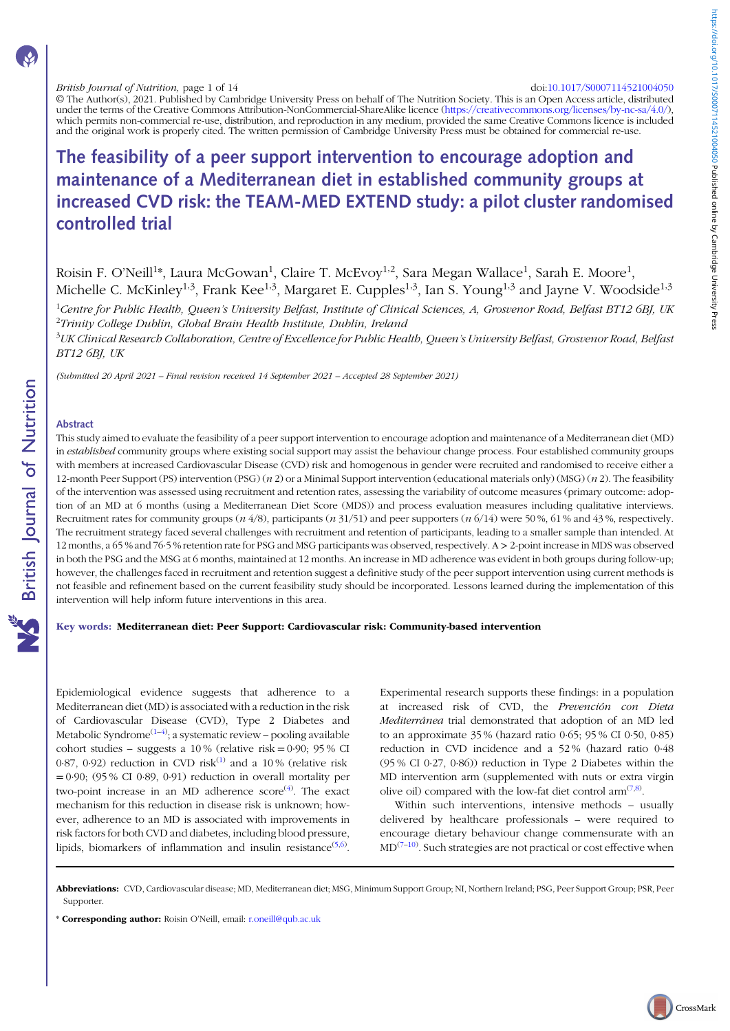© The Author(s), 2021. Published by Cambridge University Press on behalf of The Nutrition Society. This is an Open Access article, distributed under the terms of the Creative Commons Attribution-NonCommercial-ShareAlike licence (<https://creativecommons.org/licenses/by-nc-sa/4.0/>) which permits non-commercial re-use, distribution, and reproduction in any medium, provided the same Creative Commons licence is included and the original work is properly cited. The written permission of Cambridge University Press must be obtained for commercial re-use.

# The feasibility of a peer support intervention to encourage adoption and maintenance of a Mediterranean diet in established community groups at increased CVD risk: the TEAM-MED EXTEND study: a pilot cluster randomised controlled trial

Roisin F. O'Neill<sup>1</sup>\*, Laura McGowan<sup>1</sup>, Claire T. McEvoy<sup>1,2</sup>, Sara Megan Wallace<sup>1</sup>, Sarah E. Moore<sup>1</sup>, Michelle C. McKinley<sup>1,3</sup>, Frank Kee<sup>1,3</sup>, Margaret E. Cupples<sup>1,3</sup>, Ian S. Young<sup>1,3</sup> and Jayne V. Woodside<sup>1,3</sup>

<sup>1</sup>Centre for Public Healtb, Queen's University Belfast, Institute of Clinical Sciences, A, Grosvenor Road, Belfast BT12 6BJ, UK <sup>2</sup>Trinity College Dublin, Global Brain Health Institute, Dublin, Ireland

<sup>3</sup>UK Clinical Research Collaboration, Centre of Excellence for Public Health, Queen's University Belfast, Grosvenor Road, Belfast BT12 6BJ, UK

(Submitted 20 April 2021 – Final revision received 14 September 2021 – Accepted 28 September 2021)

## Abstract

This study aimed to evaluate the feasibility of a peer support intervention to encourage adoption and maintenance of a Mediterranean diet (MD) in established community groups where existing social support may assist the behaviour change process. Four established community groups with members at increased Cardiovascular Disease (CVD) risk and homogenous in gender were recruited and randomised to receive either a 12-month Peer Support (PS) intervention (PSG) ( $n$  2) or a Minimal Support intervention (educational materials only) (MSG) ( $n$  2). The feasibility of the intervention was assessed using recruitment and retention rates, assessing the variability of outcome measures (primary outcome: adoption of an MD at 6 months (using a Mediterranean Diet Score (MDS)) and process evaluation measures including qualitative interviews. Recruitment rates for community groups  $(n \frac{4}{8})$ , participants  $(n \frac{31}{51})$  and peer supporters  $(n \frac{6}{14})$  were 50%, 61% and 43%, respectively. The recruitment strategy faced several challenges with recruitment and retention of participants, leading to a smaller sample than intended. At 12 months, a 65 % and 76·5 % retention rate for PSG and MSG participants was observed, respectively. A > 2-point increase in MDS was observed in both the PSG and the MSG at 6 months, maintained at 12 months. An increase in MD adherence was evident in both groups during follow-up; however, the challenges faced in recruitment and retention suggest a definitive study of the peer support intervention using current methods is not feasible and refinement based on the current feasibility study should be incorporated. Lessons learned during the implementation of this intervention will help inform future interventions in this area.

#### Key words: Mediterranean diet: Peer Support: Cardiovascular risk: Community-based intervention

Epidemiological evidence suggests that adherence to a Mediterranean diet (MD) is associated with a reduction in the risk of Cardiovascular Disease (CVD), Type 2 Diabetes and Metabolic Syndrome<sup>[\(1](#page-11-0)–[4](#page-11-0))</sup>; a systematic review – pooling available cohort studies – suggests a  $10\%$  (relative risk = 0.90; 95 % CI 0.87, 0.92) reduction in CVD risk<sup>([1\)](#page-11-0)</sup> and a 10% (relative risk  $= 0.90$ ; (95 % CI 0.89, 0.91) reduction in overall mortality per two-point increase in an MD adherence score<sup>([4](#page-11-0))</sup>. The exact mechanism for this reduction in disease risk is unknown; however, adherence to an MD is associated with improvements in risk factors for both CVD and diabetes, including blood pressure, lipids, biomarkers of inflammation and insulin resistance $(5,6)$  $(5,6)$  $(5,6)$  $(5,6)$ .

Experimental research supports these findings: in a population at increased risk of CVD, the Prevención con Dieta Mediterránea trial demonstrated that adoption of an MD led to an approximate 35 % (hazard ratio 0·65; 95 % CI 0·50, 0·85) reduction in CVD incidence and a 52 % (hazard ratio 0·48 (95 % CI 0·27, 0·86)) reduction in Type 2 Diabetes within the MD intervention arm (supplemented with nuts or extra virgin olive oil) compared with the low-fat diet control  $arm^{(7,8)}$  $arm^{(7,8)}$  $arm^{(7,8)}$ .

Within such interventions, intensive methods – usually delivered by healthcare professionals – were required to encourage dietary behaviour change commensurate with an  $MD^{(7-10)}$  $MD^{(7-10)}$  $MD^{(7-10)}$  $MD^{(7-10)}$  $MD^{(7-10)}$ . Such strategies are not practical or cost effective when

Abbreviations: CVD, Cardiovascular disease; MD, Mediterranean diet; MSG, Minimum Support Group; NI, Northern Ireland; PSG, Peer Support Group; PSR, Peer Supporter.

\* Corresponding author: Roisin O'Neill, email: [r.oneill@qub.ac.uk](mailto:r.oneill@qub.ac.uk)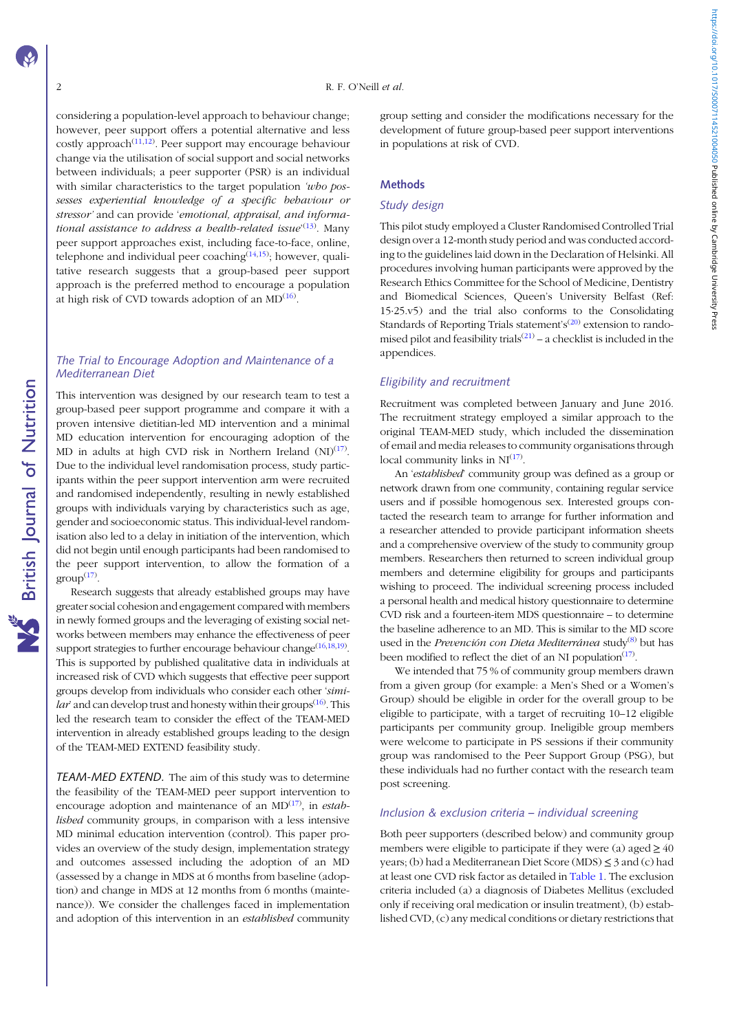considering a population-level approach to behaviour change; however, peer support offers a potential alternative and less costly approach $(11,12)$  $(11,12)$  $(11,12)$  $(11,12)$  $(11,12)$ . Peer support may encourage behaviour change via the utilisation of social support and social networks between individuals; a peer supporter (PSR) is an individual with similar characteristics to the target population 'who possesses experiential knowledge of a specific behaviour or stressor' and can provide 'emotional, appraisal, and informa-tional assistance to address a health-related issue'<sup>[\(13\)](#page-12-0)</sup>. Many peer support approaches exist, including face-to-face, online, telephone and individual peer coaching<sup>([14](#page-12-0),[15](#page-12-0))</sup>; however, qualitative research suggests that a group-based peer support approach is the preferred method to encourage a population at high risk of CVD towards adoption of an  $MD^{(16)}$  $MD^{(16)}$  $MD^{(16)}$ .

## The Trial to Encourage Adoption and Maintenance of a Mediterranean Diet

This intervention was designed by our research team to test a group-based peer support programme and compare it with a proven intensive dietitian-led MD intervention and a minimal MD education intervention for encouraging adoption of the MD in adults at high CVD risk in Northern Ireland  $(NI)^{(17)}$  $(NI)^{(17)}$  $(NI)^{(17)}$ . Due to the individual level randomisation process, study participants within the peer support intervention arm were recruited and randomised independently, resulting in newly established groups with individuals varying by characteristics such as age, gender and socioeconomic status. This individual-level randomisation also led to a delay in initiation of the intervention, which did not begin until enough participants had been randomised to the peer support intervention, to allow the formation of a  $group^{(17)}$  $group^{(17)}$  $group^{(17)}$ .

Research suggests that already established groups may have greater social cohesion and engagement compared with members in newly formed groups and the leveraging of existing social networks between members may enhance the effectiveness of peer support strategies to further encourage behaviour change  $(16,18,19)$  $(16,18,19)$  $(16,18,19)$ . This is supported by published qualitative data in individuals at increased risk of CVD which suggests that effective peer support groups develop from individuals who consider each other 'simi-lar' and can develop trust and honesty within their groups<sup>[\(16\)](#page-12-0)</sup>. This led the research team to consider the effect of the TEAM-MED intervention in already established groups leading to the design of the TEAM-MED EXTEND feasibility study.

TEAM-MED EXTEND. The aim of this study was to determine the feasibility of the TEAM-MED peer support intervention to encourage adoption and maintenance of an  $MD^{(17)}$  $MD^{(17)}$  $MD^{(17)}$ , in *estab*lished community groups, in comparison with a less intensive MD minimal education intervention (control). This paper provides an overview of the study design, implementation strategy and outcomes assessed including the adoption of an MD (assessed by a change in MDS at 6 months from baseline (adoption) and change in MDS at 12 months from 6 months (maintenance)). We consider the challenges faced in implementation and adoption of this intervention in an established community group setting and consider the modifications necessary for the development of future group-based peer support interventions in populations at risk of CVD.

https://doi.org/10.1017/50007114521004050 Published online by Cambridge University Press https://doi.org/10.1017/S0007114521004050 Published online by Cambridge University Press

## Methods

## Study design

This pilot study employed a Cluster Randomised Controlled Trial design over a 12-month study period and was conducted according to the guidelines laid down in the Declaration of Helsinki. All procedures involving human participants were approved by the Research Ethics Committee for the School of Medicine, Dentistry and Biomedical Sciences, Queen's University Belfast (Ref: 15·25.v5) and the trial also conforms to the Consolidating Standards of Reporting Trials statement's<sup>[\(20](#page-12-0))</sup> extension to randomised pilot and feasibility trials<sup> $(21)$  $(21)$ </sup> – a checklist is included in the appendices.

## Eligibility and recruitment

Recruitment was completed between January and June 2016. The recruitment strategy employed a similar approach to the original TEAM-MED study, which included the dissemination of email and media releases to community organisations through local community links in  $NI^{(17)}$  $NI^{(17)}$  $NI^{(17)}$ .

An 'established' community group was defined as a group or network drawn from one community, containing regular service users and if possible homogenous sex. Interested groups contacted the research team to arrange for further information and a researcher attended to provide participant information sheets and a comprehensive overview of the study to community group members. Researchers then returned to screen individual group members and determine eligibility for groups and participants wishing to proceed. The individual screening process included a personal health and medical history questionnaire to determine CVD risk and a fourteen-item MDS questionnaire – to determine the baseline adherence to an MD. This is similar to the MD score used in the Prevención con Dieta Mediterránea study<sup>[\(8](#page-11-0))</sup> but has been modified to reflect the diet of an NI population<sup>[\(17\)](#page-12-0)</sup>.

We intended that 75 % of community group members drawn from a given group (for example: a Men's Shed or a Women's Group) should be eligible in order for the overall group to be eligible to participate, with a target of recruiting 10–12 eligible participants per community group. Ineligible group members were welcome to participate in PS sessions if their community group was randomised to the Peer Support Group (PSG), but these individuals had no further contact with the research team post screening.

## Inclusion & exclusion criteria – individual screening

Both peer supporters (described below) and community group members were eligible to participate if they were (a) aged  $\geq 40$ years; (b) had a Mediterranean Diet Score (MDS) ≤ 3 and (c) had at least one CVD risk factor as detailed in [Table 1](#page-2-0). The exclusion criteria included (a) a diagnosis of Diabetes Mellitus (excluded only if receiving oral medication or insulin treatment), (b) established CVD, (c) any medical conditions or dietary restrictions that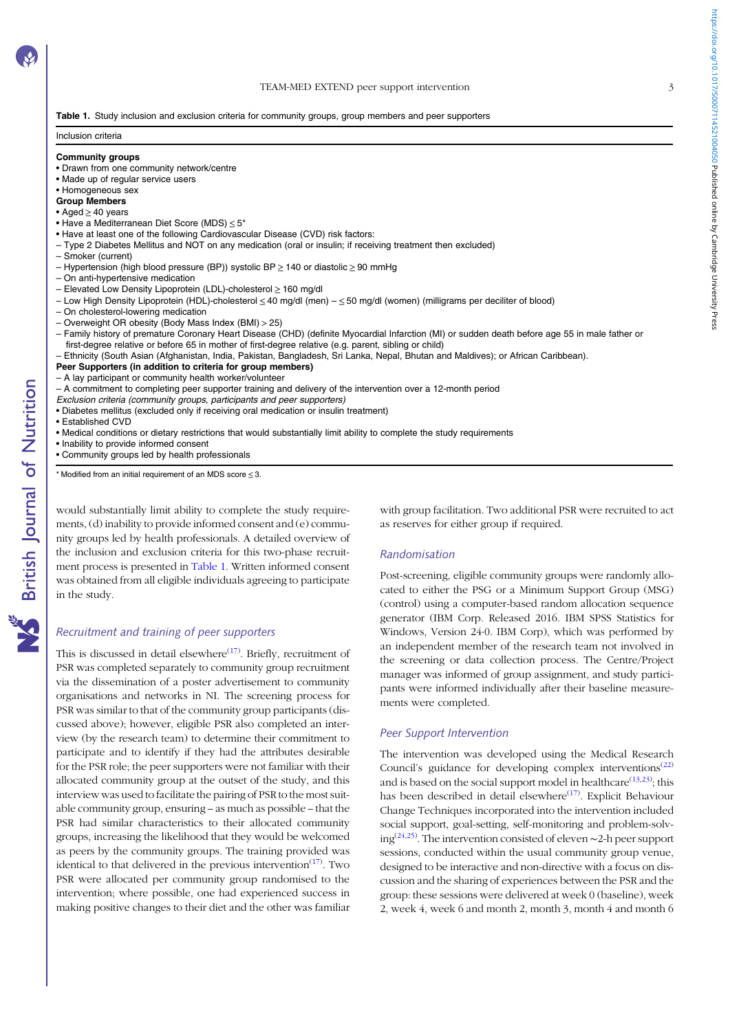#### TEAM-MED EXTEND peer support intervention 3

<span id="page-2-0"></span>Table 1. Study inclusion and exclusion criteria for community groups, group members and peer supporters

## Inclusion criteria

#### Community groups

- Drawn from one community network/centre
- Made up of regular service users

## • Homogeneous sex

- Group Members
- Aged ≥ 40 years
- Have a Mediterranean Diet Score (MDS) ≤ 5\*
- Have at least one of the following Cardiovascular Disease (CVD) risk factors:
- Type 2 Diabetes Mellitus and NOT on any medication (oral or insulin; if receiving treatment then excluded) – Smoker (current)
- Hypertension (high blood pressure (BP)) systolic BP ≥ 140 or diastolic ≥ 90 mmHg
- On anti-hypertensive medication
- Elevated Low Density Lipoprotein (LDL)-cholesterol ≥ 160 mg/dl
- Low High Density Lipoprotein (HDL)-cholesterol ≤ 40 mg/dl (men) ≤ 50 mg/dl (women) (milligrams per deciliter of blood)
- On cholesterol-lowering medication
- Overweight OR obesity (Body Mass Index (BMI) > 25)
- Family history of premature Coronary Heart Disease (CHD) (definite Myocardial Infarction (MI) or sudden death before age 55 in male father or first-degree relative or before 65 in mother of first-degree relative (e.g. parent, sibling or child)
- Ethnicity (South Asian (Afghanistan, India, Pakistan, Bangladesh, Sri Lanka, Nepal, Bhutan and Maldives); or African Caribbean).
- Peer Supporters (in addition to criteria for group members)
- A lay participant or community health worker/volunteer

– A commitment to completing peer supporter training and delivery of the intervention over a 12-month period

- Exclusion criteria (community groups, participants and peer supporters)
- Diabetes mellitus (excluded only if receiving oral medication or insulin treatment)
- Established CVD
- Medical conditions or dietary restrictions that would substantially limit ability to complete the study requirements
- Inability to provide informed consent
- Community groups led by health professionals

 $*$  Modified from an initial requirement of an MDS score  $\leq$  3.

would substantially limit ability to complete the study requirements, (d) inability to provide informed consent and (e) community groups led by health professionals. A detailed overview of the inclusion and exclusion criteria for this two-phase recruitment process is presented in Table 1. Written informed consent was obtained from all eligible individuals agreeing to participate in the study.

#### Recruitment and training of peer supporters

This is discussed in detail elsewhere $(17)$  $(17)$ . Briefly, recruitment of PSR was completed separately to community group recruitment via the dissemination of a poster advertisement to community organisations and networks in NI. The screening process for PSR was similar to that of the community group participants (discussed above); however, eligible PSR also completed an interview (by the research team) to determine their commitment to participate and to identify if they had the attributes desirable for the PSR role; the peer supporters were not familiar with their allocated community group at the outset of the study, and this interview was used to facilitate the pairing of PSR to the most suitable community group, ensuring – as much as possible – that the PSR had similar characteristics to their allocated community groups, increasing the likelihood that they would be welcomed as peers by the community groups. The training provided was identical to that delivered in the previous intervention $(17)$  $(17)$ . Two PSR were allocated per community group randomised to the intervention; where possible, one had experienced success in making positive changes to their diet and the other was familiar

with group facilitation. Two additional PSR were recruited to act as reserves for either group if required.

## Randomisation

Post-screening, eligible community groups were randomly allocated to either the PSG or a Minimum Support Group (MSG) (control) using a computer-based random allocation sequence generator (IBM Corp. Released 2016. IBM SPSS Statistics for Windows, Version 24·0. IBM Corp), which was performed by an independent member of the research team not involved in the screening or data collection process. The Centre/Project manager was informed of group assignment, and study participants were informed individually after their baseline measurements were completed.

#### Peer Support Intervention

The intervention was developed using the Medical Research Council's guidance for developing complex interventions<sup>[\(22](#page-12-0))</sup> and is based on the social support model in healthcare<sup> $(13,23)$  $(13,23)$  $(13,23)$  $(13,23)$ </sup>; this has been described in detail elsewhere<sup>([17](#page-12-0))</sup>. Explicit Behaviour Change Techniques incorporated into the intervention included social support, goal-setting, self-monitoring and problem-solv-ing<sup>[\(24](#page-12-0),[25](#page-12-0))</sup>. The intervention consisted of eleven ~2-h peer support sessions, conducted within the usual community group venue, designed to be interactive and non-directive with a focus on discussion and the sharing of experiences between the PSR and the group: these sessions were delivered at week 0 (baseline), week 2, week 4, week 6 and month 2, month 3, month 4 and month 6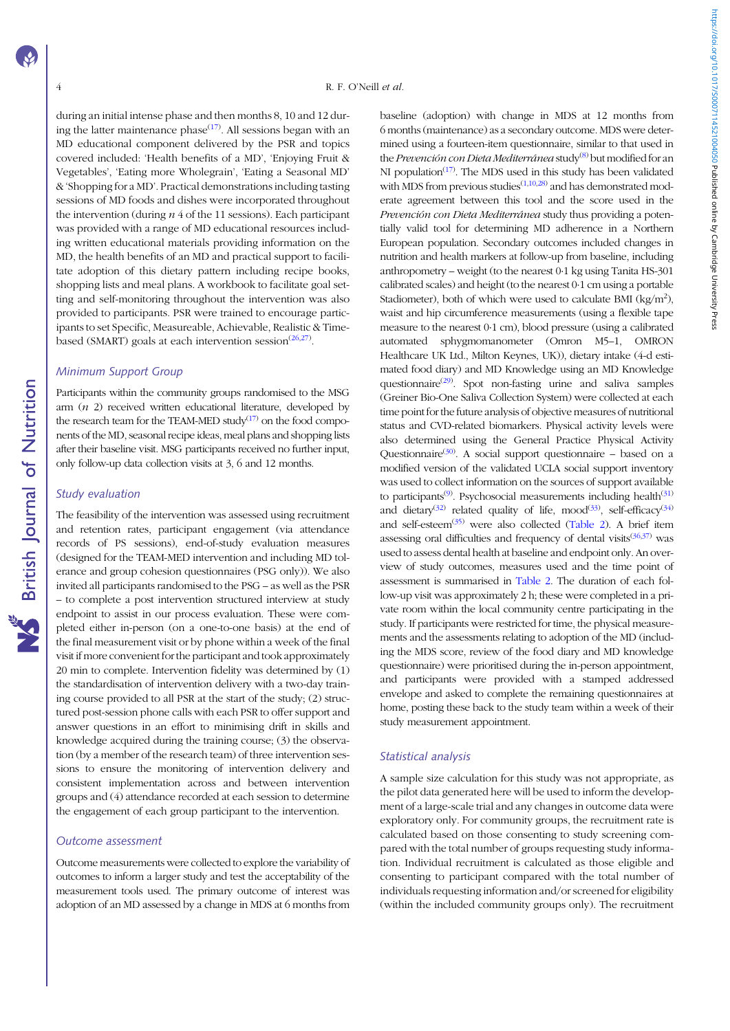during an initial intense phase and then months 8, 10 and 12 dur-ing the latter maintenance phase<sup>([17\)](#page-12-0)</sup>. All sessions began with an MD educational component delivered by the PSR and topics covered included: 'Health benefits of a MD', 'Enjoying Fruit & Vegetables', 'Eating more Wholegrain', 'Eating a Seasonal MD' &'Shopping for a MD'. Practical demonstrations including tasting sessions of MD foods and dishes were incorporated throughout the intervention (during  $n/4$  of the 11 sessions). Each participant was provided with a range of MD educational resources including written educational materials providing information on the MD, the health benefits of an MD and practical support to facilitate adoption of this dietary pattern including recipe books, shopping lists and meal plans. A workbook to facilitate goal setting and self-monitoring throughout the intervention was also provided to participants. PSR were trained to encourage participants to set Specific, Measureable, Achievable, Realistic & Time-based (SMART) goals at each intervention session<sup>([26,27\)](#page-12-0)</sup>.

#### Minimum Support Group

Participants within the community groups randomised to the MSG arm  $(n 2)$  received written educational literature, developed by the research team for the TEAM-MED study $(17)$  on the food components of the MD, seasonal recipe ideas, meal plans and shopping lists after their baseline visit. MSG participants received no further input, only follow-up data collection visits at 3, 6 and 12 months.

#### Study evaluation

The feasibility of the intervention was assessed using recruitment and retention rates, participant engagement (via attendance records of PS sessions), end-of-study evaluation measures (designed for the TEAM-MED intervention and including MD tolerance and group cohesion questionnaires (PSG only)). We also invited all participants randomised to the PSG – as well as the PSR – to complete a post intervention structured interview at study endpoint to assist in our process evaluation. These were completed either in-person (on a one-to-one basis) at the end of the final measurement visit or by phone within a week of the final visit if more convenient for the participant and took approximately 20 min to complete. Intervention fidelity was determined by (1) the standardisation of intervention delivery with a two-day training course provided to all PSR at the start of the study; (2) structured post-session phone calls with each PSR to offer support and answer questions in an effort to minimising drift in skills and knowledge acquired during the training course; (3) the observation (by a member of the research team) of three intervention sessions to ensure the monitoring of intervention delivery and consistent implementation across and between intervention groups and (4) attendance recorded at each session to determine the engagement of each group participant to the intervention.

#### Outcome assessment

Outcome measurements were collected to explore the variability of outcomes to inform a larger study and test the acceptability of the measurement tools used. The primary outcome of interest was adoption of an MD assessed by a change in MDS at 6 months from baseline (adoption) with change in MDS at 12 months from 6 months (maintenance) as a secondary outcome. MDS were determined using a fourteen-item questionnaire, similar to that used in the Prevención con Dieta Mediterránea study<sup>[\(8\)](#page-11-0)</sup> but modified for an NI population<sup>[\(17](#page-12-0))</sup>. The MDS used in this study has been validated with MDS from previous studies $(1,10,28)$  $(1,10,28)$  $(1,10,28)$  $(1,10,28)$  and has demonstrated moderate agreement between this tool and the score used in the Prevención con Dieta Mediterránea study thus providing a potentially valid tool for determining MD adherence in a Northern European population. Secondary outcomes included changes in nutrition and health markers at follow-up from baseline, including anthropometry – weight (to the nearest 0·1 kg using Tanita HS-301 calibrated scales) and height (to the nearest 0·1 cm using a portable Stadiometer), both of which were used to calculate BMI (kg/m<sup>2</sup>), waist and hip circumference measurements (using a flexible tape measure to the nearest 0·1 cm), blood pressure (using a calibrated automated sphygmomanometer (Omron M5–1, OMRON Healthcare UK Ltd., Milton Keynes, UK)), dietary intake (4-d estimated food diary) and MD Knowledge using an MD Knowledge questionnaire<sup>[\(29](#page-12-0))</sup>. Spot non-fasting urine and saliva samples (Greiner Bio-One Saliva Collection System) were collected at each time point for the future analysis of objective measures of nutritional status and CVD-related biomarkers. Physical activity levels were also determined using the General Practice Physical Activity Questionnaire<sup>[\(30](#page-12-0))</sup>. A social support questionnaire – based on a modified version of the validated UCLA social support inventory was used to collect information on the sources of support available to participants<sup>[\(9](#page-11-0))</sup>. Psychosocial measurements including health<sup>[\(31](#page-12-0))</sup> and dietary<sup>([32\)](#page-12-0)</sup> related quality of life, mood<sup>([33\)](#page-12-0)</sup>, self-efficacy<sup>[\(34](#page-12-0))</sup> and self-esteem $(35)$  $(35)$  were also collected [\(Table 2](#page-4-0)). A brief item assessing oral difficulties and frequency of dental visits $(36,37)$  $(36,37)$  $(36,37)$  was used to assess dental health at baseline and endpoint only. An overview of study outcomes, measures used and the time point of assessment is summarised in [Table 2.](#page-4-0) The duration of each follow-up visit was approximately 2 h; these were completed in a private room within the local community centre participating in the study. If participants were restricted for time, the physical measurements and the assessments relating to adoption of the MD (including the MDS score, review of the food diary and MD knowledge questionnaire) were prioritised during the in-person appointment, and participants were provided with a stamped addressed envelope and asked to complete the remaining questionnaires at home, posting these back to the study team within a week of their study measurement appointment.

## Statistical analysis

A sample size calculation for this study was not appropriate, as the pilot data generated here will be used to inform the development of a large-scale trial and any changes in outcome data were exploratory only. For community groups, the recruitment rate is calculated based on those consenting to study screening compared with the total number of groups requesting study information. Individual recruitment is calculated as those eligible and consenting to participant compared with the total number of individuals requesting information and/or screened for eligibility (within the included community groups only). The recruitment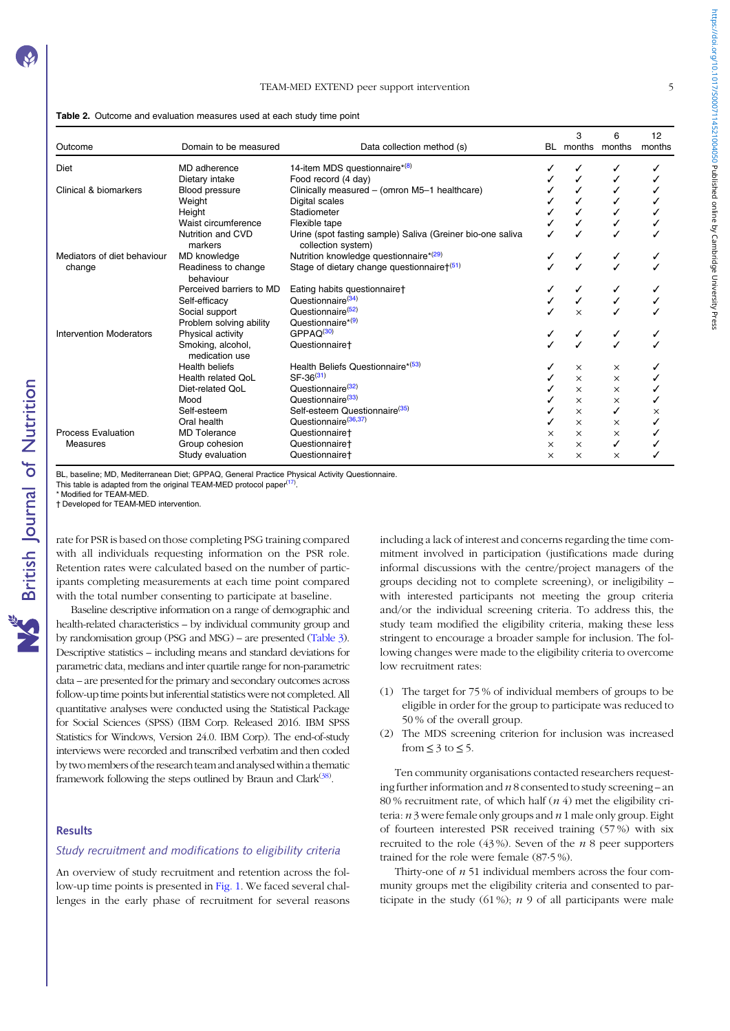## TEAM-MED EXTEND peer support intervention 5

<span id="page-4-0"></span>

| <b>Table 2.</b> Outcome and evaluation measures used at each study time point |  |
|-------------------------------------------------------------------------------|--|
|-------------------------------------------------------------------------------|--|

| Outcome                        | Domain to be measured               | Data collection method (s)                                                       | BL.      | 3        | 6<br>months months | 12<br>months |
|--------------------------------|-------------------------------------|----------------------------------------------------------------------------------|----------|----------|--------------------|--------------|
| Diet                           | MD adherence                        | 14-item MDS questionnaire*(8)                                                    |          |          |                    |              |
|                                | Dietary intake                      | Food record (4 day)                                                              |          |          |                    |              |
| Clinical & biomarkers          | Blood pressure                      | Clinically measured - (omron M5-1 healthcare)                                    |          |          |                    |              |
|                                | Weight                              | Digital scales                                                                   |          |          |                    |              |
|                                | Height                              | Stadiometer                                                                      |          |          |                    |              |
|                                | Waist circumference                 | Flexible tape                                                                    |          |          |                    |              |
|                                | Nutrition and CVD<br>markers        | Urine (spot fasting sample) Saliva (Greiner bio-one saliva<br>collection system) |          |          |                    |              |
| Mediators of diet behaviour    | MD knowledge                        | Nutrition knowledge questionnaire*(29)                                           |          | ✓        | ✓                  |              |
| change                         | Readiness to change<br>behaviour    | Stage of dietary change questionnaire† <sup>(51)</sup>                           |          |          |                    |              |
|                                | Perceived barriers to MD            | Eating habits questionnaire†                                                     |          |          |                    |              |
|                                | Self-efficacy                       | Questionnaire <sup>(34)</sup>                                                    |          |          |                    |              |
|                                | Social support                      | Questionnaire <sup>(52)</sup>                                                    |          | $\times$ |                    |              |
|                                | Problem solving ability             | Questionnaire* <sup>(9)</sup>                                                    |          |          |                    |              |
| <b>Intervention Moderators</b> | Physical activity                   | GPPAQ <sup>(30)</sup>                                                            |          |          | ✓                  |              |
|                                | Smoking, alcohol,<br>medication use | Questionnaire <sup>+</sup>                                                       |          |          |                    |              |
|                                | <b>Health beliefs</b>               | Health Beliefs Questionnaire* <sup>(53)</sup>                                    |          | $\times$ | $\times$           |              |
|                                | Health related OoL                  | $SF-36^{(31)}$                                                                   |          | $\times$ | $\times$           |              |
|                                | Diet-related QoL                    | Questionnaire <sup>(32)</sup>                                                    |          | $\times$ | $\times$           |              |
|                                | Mood                                | Questionnaire <sup>(33)</sup>                                                    |          | $\times$ | $\times$           |              |
|                                | Self-esteem                         | Self-esteem Questionnaire <sup>(35)</sup>                                        |          | $\times$ | ✓                  | ×            |
|                                | Oral health                         | Questionnaire <sup>(36,37)</sup>                                                 |          | $\times$ | $\times$           |              |
| <b>Process Evaluation</b>      | <b>MD</b> Tolerance                 | Questionnairet                                                                   | X        | $\times$ | $\times$           |              |
| Measures                       | Group cohesion                      | Questionnairet                                                                   | $\times$ | $\times$ | ✓                  |              |
|                                | Study evaluation                    | Questionnaire <sup>+</sup>                                                       | $\times$ | $\times$ | $\times$           |              |

BL, baseline; MD, Mediterranean Diet; GPPAQ, General Practice Physical Activity Questionnaire.

This table is adapted from the original TEAM-MED protocol paper<sup>([17\)](#page-12-0)</sup>.

Modified for TEAM-MED.

† Developed for TEAM-MED intervention.

rate for PSR is based on those completing PSG training compared with all individuals requesting information on the PSR role. Retention rates were calculated based on the number of participants completing measurements at each time point compared with the total number consenting to participate at baseline.

Baseline descriptive information on a range of demographic and health-related characteristics – by individual community group and by randomisation group (PSG and MSG) – are presented ([Table 3](#page-5-0)). Descriptive statistics – including means and standard deviations for parametric data, medians and inter quartile range for non-parametric data – are presented for the primary and secondary outcomes across follow-up time points but inferential statistics were not completed. All quantitative analyses were conducted using the Statistical Package for Social Sciences (SPSS) (IBM Corp. Released 2016. IBM SPSS Statistics for Windows, Version 24.0. IBM Corp). The end-of-study interviews were recorded and transcribed verbatim and then coded by two members of the research team and analysed within a thematic framework following the steps outlined by Braun and Clark<sup>[\(38](#page-12-0))</sup>.

#### Results

## Study recruitment and modifications to eligibility criteria

An overview of study recruitment and retention across the follow-up time points is presented in [Fig. 1](#page-6-0). We faced several challenges in the early phase of recruitment for several reasons including a lack of interest and concerns regarding the time commitment involved in participation (justifications made during informal discussions with the centre/project managers of the groups deciding not to complete screening), or ineligibility – with interested participants not meeting the group criteria and/or the individual screening criteria. To address this, the study team modified the eligibility criteria, making these less stringent to encourage a broader sample for inclusion. The following changes were made to the eligibility criteria to overcome low recruitment rates:

- (1) The target for 75 % of individual members of groups to be eligible in order for the group to participate was reduced to 50 % of the overall group.
- (2) The MDS screening criterion for inclusion was increased from  $\leq$  3 to  $\leq$  5.

Ten community organisations contacted researchers requesting further information and  $n8$  consented to study screening – an 80 % recruitment rate, of which half  $(n 4)$  met the eligibility criteria:  $n$  3 were female only groups and  $n$  1 male only group. Eight of fourteen interested PSR received training (57 %) with six recruited to the role  $(43\%)$ . Seven of the *n* 8 peer supporters trained for the role were female (87·5 %).

Thirty-one of  $n 51$  individual members across the four community groups met the eligibility criteria and consented to participate in the study  $(61\%)$ ; *n* 9 of all participants were male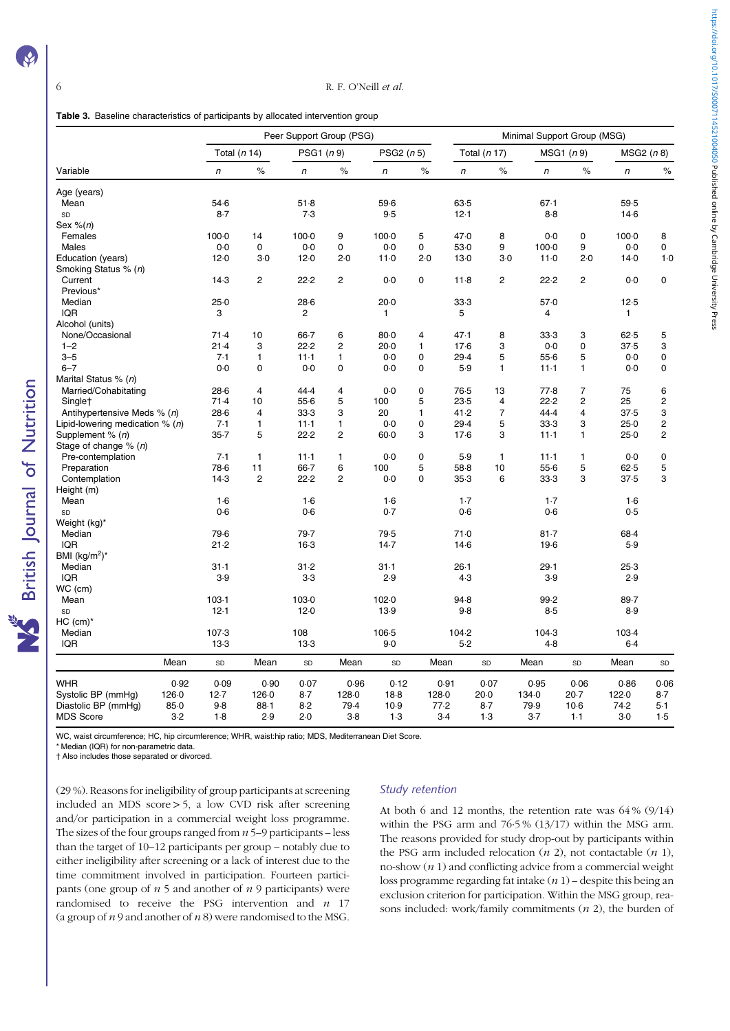<span id="page-5-0"></span>

| Table 3. Baseline characteristics of participants by allocated intervention group |  |  |  |
|-----------------------------------------------------------------------------------|--|--|--|
|-----------------------------------------------------------------------------------|--|--|--|

|                                   |       |              |                |                | Peer Support Group (PSG) |              | Minimal Support Group (MSG) |        |                |                |                |              |                |  |  |
|-----------------------------------|-------|--------------|----------------|----------------|--------------------------|--------------|-----------------------------|--------|----------------|----------------|----------------|--------------|----------------|--|--|
|                                   |       | Total (n 14) |                | PSG1 (n 9)     |                          | PSG2 $(n 5)$ |                             |        | Total (n 17)   |                | MSG1 (n 9)     | MSG2(n8)     |                |  |  |
| Variable                          |       | $\sqrt{n}$   | $\%$           | n              | $\%$                     | n            | $\%$                        | n      | $\%$           | $\sqrt{n}$     | $\%$           | n            | $\%$           |  |  |
| Age (years)                       |       |              |                |                |                          |              |                             |        |                |                |                |              |                |  |  |
| Mean                              |       | 54.6         |                | 51.8           |                          | 59.6         |                             | 63.5   |                | 67.1           |                | 59.5         |                |  |  |
| SD                                |       | $8-7$        |                | 7.3            |                          | 9.5          |                             | 12.1   |                | $8-8$          |                | $14-6$       |                |  |  |
| Sex $%$ (n)                       |       |              |                |                |                          |              |                             |        |                |                |                |              |                |  |  |
| Females                           |       | $100-0$      | 14             | $100 - 0$      | 9                        | $100 - 0$    | 5                           | 47.0   | 8              | 0.0            | 0              | $100-0$      | 8              |  |  |
| Males                             |       | 0.0          | 0              | 0.0            | 0                        | 0.0          | 0                           | 53.0   | 9              | $100 - 0$      | 9              | $0-0$        | 0              |  |  |
| Education (years)                 |       | 12.0         | $3-0$          | 12.0           | 2.0                      | 11.0         | 2.0                         | 13.0   | $3-0$          | 11.0           | 2.0            | 14.0         | 1.0            |  |  |
| Smoking Status % (n)              |       |              |                |                |                          |              |                             |        |                |                |                |              |                |  |  |
| Current                           |       | $14-3$       | $\overline{2}$ | 22.2           | $\overline{c}$           | 0.0          | 0                           | 11.8   | $\overline{c}$ | 22.2           | $\overline{2}$ | 0.0          | 0              |  |  |
| Previous*                         |       |              |                |                |                          |              |                             |        |                |                |                |              |                |  |  |
| Median                            |       | 25.0         |                | $28-6$         |                          | $20-0$       |                             | 33.3   |                | 57.0           |                | $12-5$       |                |  |  |
| <b>IQR</b>                        |       | 3            |                | $\overline{2}$ |                          | 1            |                             | 5      |                | $\overline{4}$ |                | $\mathbf{1}$ |                |  |  |
| Alcohol (units)                   |       |              |                |                |                          |              |                             |        |                |                |                |              |                |  |  |
| None/Occasional                   |       | 71.4         | 10             | 66.7           | 6                        | $80 - 0$     | 4                           | 47.1   | 8              | 33.3           | 3              | 62.5         | 5              |  |  |
| $1 - 2$                           |       | 21.4         | 3              | 22.2           | $\overline{c}$           | $20-0$       | 1                           | $17-6$ | 3              | 0.0            | $\mathbf 0$    | 37.5         | 3              |  |  |
| $3 - 5$                           |       | 7.1          | $\mathbf{1}$   | $11 - 1$       | $\mathbf{1}$             | 0.0          | $\mathbf 0$                 | 29.4   | 5              | 55.6           | 5              | 0.0          | 0              |  |  |
| $6 - 7$                           |       | 0.0          | 0              | 0.0            | 0                        | 0.0          | 0                           | 5.9    | 1              | $11-1$         | 1              | $0-0$        | $\mathbf 0$    |  |  |
| Marital Status % (n)              |       |              |                |                |                          |              |                             |        |                |                |                |              |                |  |  |
| Married/Cohabitating              |       | 28.6         | $\overline{4}$ | 44.4           | $\overline{4}$           | 0.0          | 0                           | 76.5   | 13             | 77.8           | $\overline{7}$ | 75           | 6              |  |  |
| Single†                           |       | 71.4         | 10             | 55.6           | 5                        | 100          | 5                           | 23.5   | $\overline{4}$ | 22.2           | $\overline{c}$ | 25           | $\overline{2}$ |  |  |
| Antihypertensive Meds % (n)       |       | $28-6$       | 4              | 33.3           | 3                        | 20           | $\mathbf{1}$                | 41.2   | $\overline{7}$ | 44.4           | 4              | 37.5         | 3              |  |  |
| Lipid-lowering medication $% (n)$ |       | 7.1          | $\mathbf{1}$   | $11-1$         | $\mathbf{1}$             | 0.0          | 0                           | 29.4   | 5              | 33.3           | 3              | 25.0         | $\overline{c}$ |  |  |
| Supplement % (n)                  |       | $35 - 7$     | 5              | 22.2           | $\overline{c}$           | $60-0$       | 3                           | $17-6$ | 3              | $11-1$         | 1              | 25.0         | $\overline{c}$ |  |  |
| Stage of change $% (n)$           |       |              |                |                |                          |              |                             |        |                |                |                |              |                |  |  |
| Pre-contemplation                 |       | 7.1          | $\mathbf{1}$   | $11-1$         | 1                        | 0.0          | 0                           | 5.9    | $\mathbf{1}$   | $11-1$         | 1              | $0-0$        | 0              |  |  |
| Preparation                       |       | 78.6         | 11             | 66.7           | 6                        | 100          | 5                           | 58.8   | 10             | 55.6           | 5              | 62.5         | 5              |  |  |
| Contemplation                     |       | 14.3         | $\overline{2}$ | 22.2           | $\overline{c}$           | 0.0          | 0                           | 35.3   | 6              | 33.3           | 3              | 37.5         | 3              |  |  |
| Height (m)                        |       |              |                |                |                          |              |                             |        |                |                |                |              |                |  |  |
| Mean                              |       | 1.6          |                | 1.6            |                          | $1-6$        |                             | $1-7$  |                | $1-7$          |                | $1-6$        |                |  |  |
| SD                                |       | 0.6          |                | 0.6            |                          | 0.7          |                             | 0.6    |                | 0.6            |                | 0.5          |                |  |  |
| Weight (kg)*                      |       |              |                |                |                          |              |                             |        |                |                |                |              |                |  |  |
| Median                            |       | 79.6         |                | 79.7           |                          | 79.5         |                             | 71.0   |                | 81.7           |                | 68.4         |                |  |  |
| IQR                               |       | 21.2         |                | $16-3$         |                          | 14.7         |                             | $14-6$ |                | $19-6$         |                | 5.9          |                |  |  |
| BMI $(kg/m2)*$                    |       |              |                |                |                          |              |                             |        |                |                |                |              |                |  |  |
| Median                            |       | $31-1$       |                | 31.2           |                          | $31 - 1$     |                             | $26-1$ |                | 29.1           |                | 25.3         |                |  |  |
| <b>IQR</b>                        |       | 3.9          |                | $3-3$          |                          | 2.9          |                             | 4.3    |                | 3.9            |                | 2.9          |                |  |  |
| WC (cm)                           |       |              |                |                |                          |              |                             |        |                |                |                |              |                |  |  |
| Mean                              |       | 103.1        |                | 103.0          |                          | 102.0        |                             | 94.8   |                | 99.2           |                | 89.7         |                |  |  |
| SD                                |       | 12.1         |                | 12.0           |                          | 13.9         |                             | 9.8    |                | 8.5            |                | 8.9          |                |  |  |
| $HC (cm)*$                        |       |              |                |                |                          |              |                             |        |                |                |                |              |                |  |  |
| Median                            |       | 107.3        |                | 108            |                          | 106-5        |                             | 104.2  |                | 104.3          |                | 103-4        |                |  |  |
| <b>IQR</b>                        |       | 13.3         |                | 13.3           |                          | 9.0          |                             | 5.2    |                | 4.8            |                | 6.4          |                |  |  |
|                                   |       |              |                |                |                          |              |                             |        |                |                |                |              |                |  |  |
|                                   | Mean  | SD           | Mean           | SD             | Mean                     | SD           |                             | Mean   | SD             | Mean           | SD             | Mean         | ${\tt SD}$     |  |  |
| <b>WHR</b>                        | 0.92  | 0.09         | 0.90           | 0.07           | 0.96                     | 0.12         |                             | 0.91   | 0.07           | 0.95           | 0.06           | 0.86         | 0.06           |  |  |
| Systolic BP (mmHg)                | 126.0 | 12.7         | 126.0          | 8.7            | 128.0                    | $18-8$       | 128-0                       |        | $20-0$         | 134.0          | $20-7$         | 122.0        | $8-7$          |  |  |
| Diastolic BP (mmHg)               | 85.0  | 9.8          | $88 - 1$       | 8.2            | 79.4                     | 10.9         |                             | 77.2   | $8-7$          | 79.9           | $10-6$         | 74.2         | $5-1$          |  |  |
| <b>MDS Score</b>                  | $3-2$ | 1.8          | 2.9            | 2.0            | 3.8                      | 1.3          |                             | $3-4$  | 1.3            | 3.7            | $1-1$          | $3-0$        | 1.5            |  |  |

WC, waist circumference; HC, hip circumference; WHR, waist:hip ratio; MDS, Mediterranean Diet Score.

\* Median (IQR) for non-parametric data. † Also includes those separated or divorced.

(29 %). Reasons for ineligibility of group participants at screening included an MDS score > 5, a low CVD risk after screening and/or participation in a commercial weight loss programme. The sizes of the four groups ranged from  $n 5-9$  participants – less than the target of 10–12 participants per group – notably due to either ineligibility after screening or a lack of interest due to the time commitment involved in participation. Fourteen participants (one group of  $n 5$  and another of  $n 9$  participants) were randomised to receive the PSG intervention and  $n$  17 (a group of  $n$  9 and another of  $n$  8) were randomised to the MSG.

#### Study retention

At both 6 and 12 months, the retention rate was 64 % (9/14) within the PSG arm and 76·5 % (13/17) within the MSG arm. The reasons provided for study drop-out by participants within the PSG arm included relocation  $(n 2)$ , not contactable  $(n 1)$ , no-show  $(n 1)$  and conflicting advice from a commercial weight loss programme regarding fat intake  $(n 1)$  – despite this being an exclusion criterion for participation. Within the MSG group, reasons included: work/family commitments  $(n 2)$ , the burden of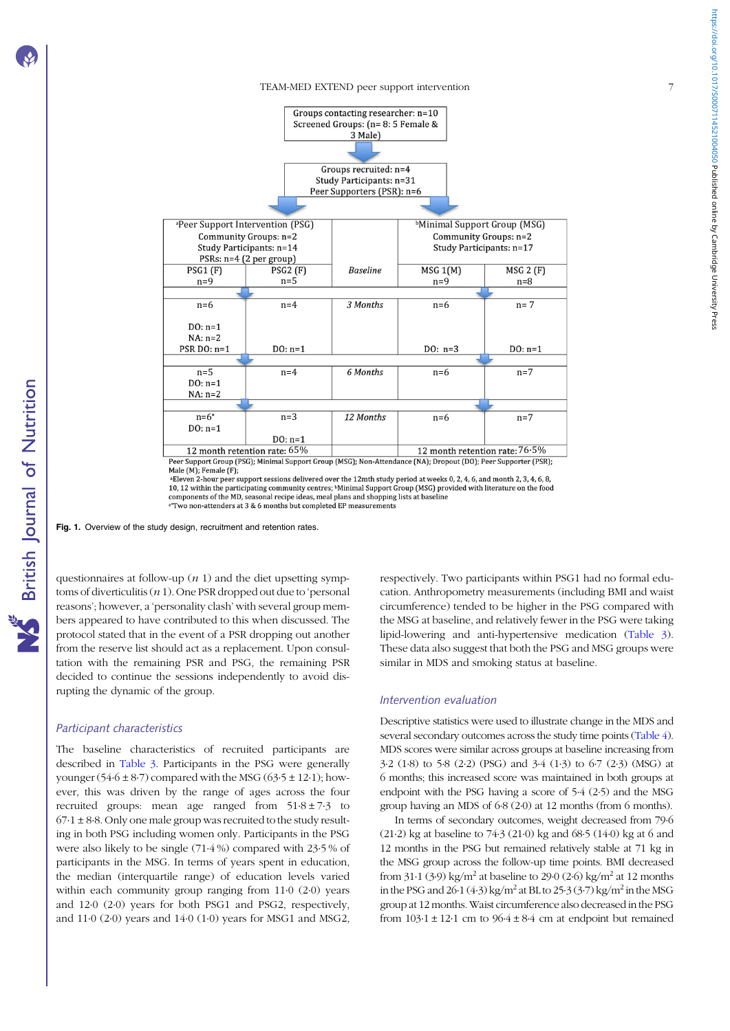#### TEAM-MED EXTEND peer support intervention 7

<span id="page-6-0"></span>

10, 12 within the participating community centres; <sup>b</sup>Minimal Support Group (MSG) provided with literature on the food components of the MD, seasonal recipe ideas, meal plans and shopping lists at baseline a Two non-attenders at 3 & 6 months but completed EP measurements

Fig. 1. Overview of the study design, recruitment and retention rates.

questionnaires at follow-up  $(n 1)$  and the diet upsetting symptoms of diverticulitis  $(n 1)$ . One PSR dropped out due to 'personal reasons'; however, a 'personality clash' with several group members appeared to have contributed to this when discussed. The protocol stated that in the event of a PSR dropping out another from the reserve list should act as a replacement. Upon consultation with the remaining PSR and PSG, the remaining PSR decided to continue the sessions independently to avoid disrupting the dynamic of the group.

## Participant characteristics

The baseline characteristics of recruited participants are described in [Table 3](#page-5-0). Participants in the PSG were generally younger (54.6  $\pm$  8.7) compared with the MSG (63.5  $\pm$  12.1); however, this was driven by the range of ages across the four recruited groups: mean age ranged from  $51.8 \pm 7.3$  to  $67.1 \pm 8.8$ . Only one male group was recruited to the study resulting in both PSG including women only. Participants in the PSG were also likely to be single (71·4 %) compared with 23·5 % of participants in the MSG. In terms of years spent in education, the median (interquartile range) of education levels varied within each community group ranging from 11·0 (2·0) years and 12·0 (2·0) years for both PSG1 and PSG2, respectively, and 11·0 (2·0) years and 14·0 (1·0) years for MSG1 and MSG2,

respectively. Two participants within PSG1 had no formal education. Anthropometry measurements (including BMI and waist circumference) tended to be higher in the PSG compared with the MSG at baseline, and relatively fewer in the PSG were taking lipid-lowering and anti-hypertensive medication [\(Table 3](#page-5-0)). These data also suggest that both the PSG and MSG groups were similar in MDS and smoking status at baseline.

#### Intervention evaluation

Descriptive statistics were used to illustrate change in the MDS and several secondary outcomes across the study time points ([Table 4](#page-7-0)). MDS scores were similar across groups at baseline increasing from 3·2 (1·8) to 5·8 (2·2) (PSG) and 3·4 (1·3) to 6·7 (2·3) (MSG) at 6 months; this increased score was maintained in both groups at endpoint with the PSG having a score of 5·4 (2·5) and the MSG group having an MDS of 6·8 (2·0) at 12 months (from 6 months).

In terms of secondary outcomes, weight decreased from 79·6 (21·2) kg at baseline to 74·3 (21·0) kg and 68·5 (14·0) kg at 6 and 12 months in the PSG but remained relatively stable at 71 kg in the MSG group across the follow-up time points. BMI decreased from  $31·1$  (3·9) kg/m<sup>2</sup> at baseline to 29·0 (2·6) kg/m<sup>2</sup> at 12 months in the PSG and  $26·1$  (4·3) kg/m<sup>2</sup> at BL to  $25·3$  (3·7) kg/m<sup>2</sup> in the MSG group at 12 months. Waist circumference also decreased in the PSG from  $103.1 \pm 12.1$  cm to  $96.4 \pm 8.4$  cm at endpoint but remained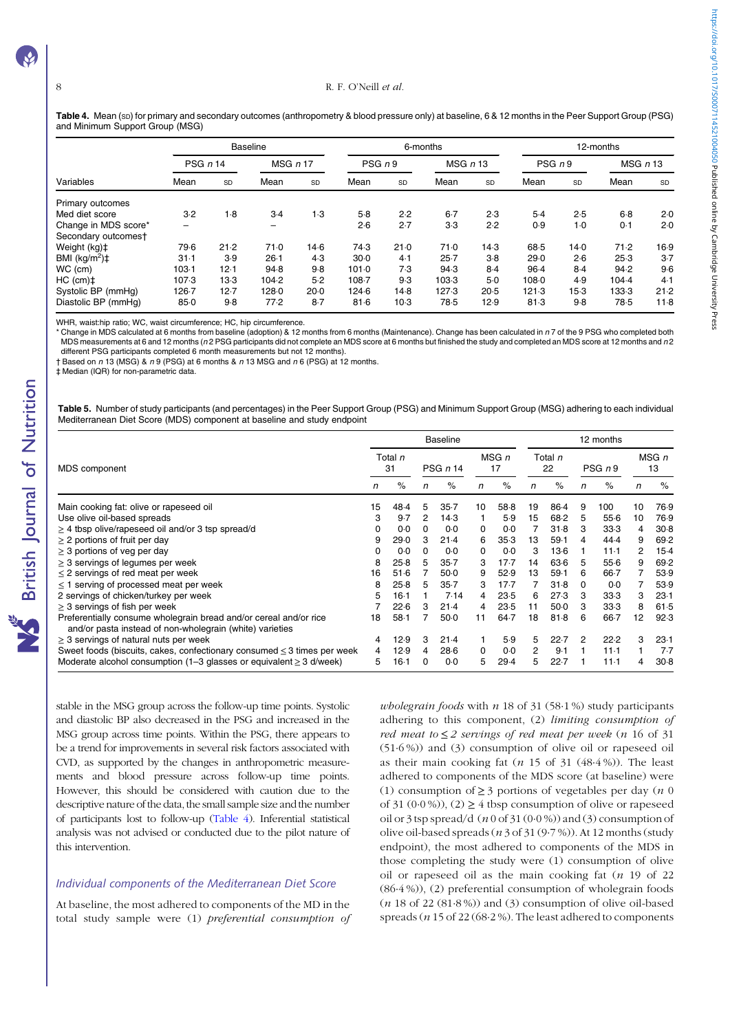British Journal of Nutrition

<span id="page-7-0"></span>Table 4. Mean (sp) for primary and secondary outcomes (anthropometry & blood pressure only) at baseline, 6 & 12 months in the Peer Support Group (PSG) and Minimum Support Group (MSG)

|                                           |           |      | <b>Baseline</b>          |       |           |        | 6-months | 12-months |        |           |       |              |  |
|-------------------------------------------|-----------|------|--------------------------|-------|-----------|--------|----------|-----------|--------|-----------|-------|--------------|--|
| Variables                                 | PSG $n14$ |      | MSGn17                   |       | PSG n9    |        | MSGn13   |           | PSG n9 |           |       | $MSG$ $n$ 13 |  |
|                                           | Mean      | SD   | Mean                     | SD    | Mean      | SD     | Mean     | <b>SD</b> | Mean   | <b>SD</b> | Mean  | <b>SD</b>    |  |
| Primary outcomes                          |           |      |                          |       |           |        |          |           |        |           |       |              |  |
| Med diet score                            | 3.2       | 1.8  | $3-4$                    | 1.3   | $5-8$     | 2.2    | $6 - 7$  | 2.3       | 5.4    | 2.5       | $6-8$ | 2.0          |  |
| Change in MDS score*                      |           |      | $\overline{\phantom{0}}$ |       | 2.6       | 2.7    | $3-3$    | 2.2       | 0.9    | $1-0$     | 0.1   | 2.0          |  |
| Secondary outcomest                       |           |      |                          |       |           |        |          |           |        |           |       |              |  |
| Weight (kg) <sup>+</sup>                  | 79.6      | 21.2 | 71.0                     | 14.6  | 74.3      | 21.0   | 71.0     | $14-3$    | 68.5   | 14.0      | 71.2  | 16.9         |  |
| BMI $(kg/m2)$ <sup><math>\pm</math></sup> | $31-1$    | 3.9  | $26-1$                   | 4.3   | $30-0$    | 4.1    | $25 - 7$ | $3-8$     | 29.0   | 2.6       | 25.3  | $3-7$        |  |
| WC (cm)                                   | 103.1     | 12.1 | 94.8                     | 9.8   | 101.0     | 7.3    | 94.3     | 8.4       | $96-4$ | 8.4       | 94.2  | 9.6          |  |
| $HC (cm)$ ‡                               | 107.3     | 13.3 | 104.2                    | 5.2   | $108 - 7$ | 9.3    | 103.3    | 5.0       | 108.0  | 4.9       | 104.4 | 4.1          |  |
| Systolic BP (mmHg)                        | $126 - 7$ | 12.7 | 128.0                    | 20.0  | 124.6     | 14.8   | 127.3    | 20.5      | 121.3  | $15-3$    | 133.3 | 21.2         |  |
| Diastolic BP (mmHg)                       | 85.0      | 9.8  | 77.2                     | $8-7$ | 81.6      | $10-3$ | 78.5     | 12.9      | 81.3   | $9-8$     | 78.5  | 11.8         |  |

WHR, waist:hip ratio; WC, waist circumference; HC, hip circumference.

Change in MDS calculated at 6 months from baseline (adoption) & 12 months from 6 months (Maintenance). Change has been calculated in n7 of the 9 PSG who completed both MDS measurements at 6 and 12 months ( $n$  2 PSG participants did not complete an MDS score at 6 months but finished the study and completed an MDS score at 12 months and  $n$  2 different PSG participants completed 6 month measurements but not 12 months).

 $\pm$  Based on n 13 (MSG) & n 9 (PSG) at 6 months & n 13 MSG and n 6 (PSG) at 12 months.

‡ Median (IQR) for non-parametric data.

Table 5. Number of study participants (and percentages) in the Peer Support Group (PSG) and Minimum Support Group (MSG) adhering to each individual Mediterranean Diet Score (MDS) component at baseline and study endpoint

|                                                                                                                               |               |        |          | <b>Baseline</b> |             |        | 12 months     |        |        |          |    |             |  |
|-------------------------------------------------------------------------------------------------------------------------------|---------------|--------|----------|-----------------|-------------|--------|---------------|--------|--------|----------|----|-------------|--|
| MDS component                                                                                                                 | Total n<br>31 |        |          | PSG n 14        | MSG n<br>17 |        | Total n<br>22 |        | PSG n9 |          |    | MSG n<br>13 |  |
|                                                                                                                               | n             | $\%$   | n        | $\%$            | n           | $\%$   | n             | $\%$   | n      | $\%$     | n  | $\%$        |  |
| Main cooking fat: olive or rapeseed oil                                                                                       | 15            | 48.4   | 5        | $35 - 7$        | 10          | 58.8   | 19            | 86.4   | 9      | 100      | 10 | 76.9        |  |
| Use olive oil-based spreads                                                                                                   | 3             | 9.7    | 2        | 14.3            |             | 5.9    | 15            | 68.2   | 5      | 55.6     | 10 | 76.9        |  |
| $\geq$ 4 tbsp olive/rapeseed oil and/or 3 tsp spread/d                                                                        | 0             | 0.0    | $\Omega$ | 0.0             | 0           | 0.0    |               | 31.8   | 3      | 33.3     | 4  | 30.8        |  |
| $\geq$ 2 portions of fruit per day                                                                                            | 9             | 29.0   | 3        | $21-4$          | 6           | 35.3   | 13            | 59.1   | 4      | 44.4     | 9  | 69.2        |  |
| $\geq$ 3 portions of veg per day                                                                                              | 0             | 0.0    |          | 0.0             | 0           | 0.0    | 3             | $13-6$ |        | 11.1     | 2  | $15-4$      |  |
| $\geq$ 3 servings of legumes per week                                                                                         | 8             | 25.8   | 5        | $35 - 7$        | 3           | $17-7$ | 14            | 63.6   | 5      | 55.6     | 9  | 69.2        |  |
| $\leq$ 2 servings of red meat per week                                                                                        | 16            | 51.6   |          | $50-0$          | 9           | 52.9   | 13            | 59.1   | 6      | $66 - 7$ |    | 53.9        |  |
| $\leq$ 1 serving of processed meat per week                                                                                   | 8             | 25.8   | 5        | $35 - 7$        | з           | $17-7$ |               | 31.8   | 0      | 0.0      |    | 53.9        |  |
| 2 servings of chicken/turkey per week                                                                                         | 5             | $16-1$ |          | 7.14            | 4           | 23.5   | 6             | 27.3   | 3      | 33.3     | 3  | $23-1$      |  |
| $\geq$ 3 servings of fish per week                                                                                            |               | 22.6   | 3        | 21.4            | 4           | 23.5   | 11            | 50.0   | 3      | 33.3     | 8  | 61.5        |  |
| Preferentially consume wholegrain bread and/or cereal and/or rice<br>and/or pasta instead of non-wholegrain (white) varieties | 18            | $58-1$ |          | $50-0$          | 11          | 64.7   | 18            | 81.8   | 6      | $66 - 7$ | 12 | 92.3        |  |
| $\geq$ 3 servings of natural nuts per week                                                                                    | 4             | 12.9   | 3        | 21.4            |             | 5.9    | 5             | 22.7   | 2      | 22.2     | з  | $23-1$      |  |
| Sweet foods (biscuits, cakes, confectionary consumed $\leq$ 3 times per week                                                  | 4             | 12.9   | 4        | 28.6            | $\Omega$    | 0.0    | 2             | 9.1    |        | $11-1$   |    | $7-7$       |  |
| Moderate alcohol consumption (1–3 glasses or equivalent $\geq$ 3 d/week)                                                      | 5             | 16 1   |          | 0.0             | 5           | 29.4   | 5             | 22.7   |        | $11-1$   | 4  | 30.8        |  |

stable in the MSG group across the follow-up time points. Systolic and diastolic BP also decreased in the PSG and increased in the MSG group across time points. Within the PSG, there appears to be a trend for improvements in several risk factors associated with CVD, as supported by the changes in anthropometric measurements and blood pressure across follow-up time points. However, this should be considered with caution due to the descriptive nature of the data, the small sample size and the number of participants lost to follow-up (Table 4). Inferential statistical analysis was not advised or conducted due to the pilot nature of this intervention.

## Individual components of the Mediterranean Diet Score

At baseline, the most adhered to components of the MD in the total study sample were (1) preferential consumption of wholegrain foods with  $n$  18 of 31 (58.1%) study participants adhering to this component, (2) limiting consumption of red meat to  $\leq$  2 servings of red meat per week (n 16 of 31 (51·6 %)) and (3) consumption of olive oil or rapeseed oil as their main cooking fat  $(n 15$  of  $31 (48.4\%)$ ). The least adhered to components of the MDS score (at baseline) were (1) consumption of  $\geq$  3 portions of vegetables per day (*n* 0) of 31 (0.0%)), (2)  $\geq$  4 tbsp consumption of olive or rapeseed oil or 3 tsp spread/d  $(n 0$  of 31 $(0.0 %)$  and  $(3)$  consumption of olive oil-based spreads  $(n 3$  of  $31 (9.7 \%)$ ). At 12 months (study endpoint), the most adhered to components of the MDS in those completing the study were (1) consumption of olive oil or rapeseed oil as the main cooking fat  $(n 19)$  of 22 (86·4 %)), (2) preferential consumption of wholegrain foods  $(n 18$  of 22  $(81.8\%)$  and  $(3)$  consumption of olive oil-based spreads ( $n$  15 of 22 (68 $\cdot$ 2%). The least adhered to components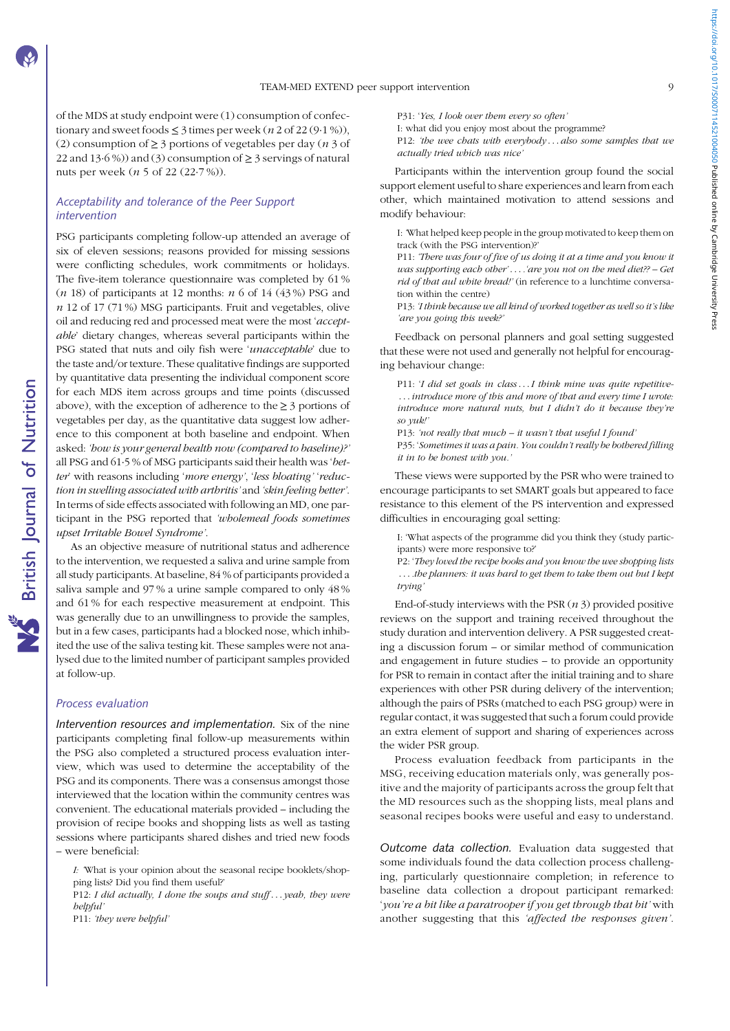of the MDS at study endpoint were (1) consumption of confectionary and sweet foods  $\leq$  3 times per week (*n* 2 of 22 (9·1 %)), (2) consumption of  $\geq$  3 portions of vegetables per day (*n* 3 of 22 and 13 $\cdot$  6%)) and (3) consumption of  $\geq$  3 servings of natural nuts per week (n 5 of 22 (22·7 %)).

## Acceptability and tolerance of the Peer Support intervention

PSG participants completing follow-up attended an average of six of eleven sessions; reasons provided for missing sessions were conflicting schedules, work commitments or holidays. The five-item tolerance questionnaire was completed by 61 %  $(n 18)$  of participants at 12 months:  $n 6$  of 14 (43%) PSG and  $n$  12 of 17 (71%) MSG participants. Fruit and vegetables, olive oil and reducing red and processed meat were the most 'acceptable' dietary changes, whereas several participants within the PSG stated that nuts and oily fish were 'unacceptable' due to the taste and/or texture. These qualitative findings are supported by quantitative data presenting the individual component score for each MDS item across groups and time points (discussed above), with the exception of adherence to the  $\geq 3$  portions of vegetables per day, as the quantitative data suggest low adherence to this component at both baseline and endpoint. When asked: 'how is your general health now (compared to baseline)?' all PSG and 61·5 % of MSG participants said their health was 'better' with reasons including 'more energy', 'less bloating' 'reduction in swelling associated with arthritis' and 'skin feeling better'. In terms of side effects associated with following an MD, one participant in the PSG reported that 'wholemeal foods sometimes upset Irritable Bowel Syndrome'.

As an objective measure of nutritional status and adherence to the intervention, we requested a saliva and urine sample from all study participants. At baseline, 84 % of participants provided a saliva sample and 97 % a urine sample compared to only 48 % and 61 % for each respective measurement at endpoint. This was generally due to an unwillingness to provide the samples, but in a few cases, participants had a blocked nose, which inhibited the use of the saliva testing kit. These samples were not analysed due to the limited number of participant samples provided at follow-up.

## Process evaluation

Intervention resources and implementation. Six of the nine participants completing final follow-up measurements within the PSG also completed a structured process evaluation interview, which was used to determine the acceptability of the PSG and its components. There was a consensus amongst those interviewed that the location within the community centres was convenient. The educational materials provided – including the provision of recipe books and shopping lists as well as tasting sessions where participants shared dishes and tried new foods – were beneficial:

I: 'What is your opinion about the seasonal recipe booklets/shopping lists? Did you find them useful?'

P12: I did actually, I done the soups and stuff... yeah, they were helpful'

P11: 'they were helpful'

P31: 'Yes, I look over them every so often' I: what did you enjoy most about the programme? P12: 'the wee chats with everybody...also some samples that we

actually tried which was nice'

Participants within the intervention group found the social support element useful to share experiences and learn from each other, which maintained motivation to attend sessions and modify behaviour:

I: 'What helped keep people in the group motivated to keep them on track (with the PSG intervention)?'

P11: 'There was four of five of us doing it at a time and you know it was supporting each other' . . . 'are you not on the med diet?? - Get rid of that aul white bread!' (in reference to a lunchtime conversation within the centre)

P13: 'I think because we all kind of worked together as well so it's like 'are you going this week?'

Feedback on personal planners and goal setting suggested that these were not used and generally not helpful for encouraging behaviour change:

P11: 'I did set goals in class...I think mine was quite repetitive-...introduce more of this and more of that and every time I wrote: introduce more natural nuts, but I didn't do it because they're so yuk!'

P13: 'not really that much – it wasn't that useful I found'

P35: 'Sometimes it was a pain. You couldn't really be bothered filling it in to be honest with you.'

These views were supported by the PSR who were trained to encourage participants to set SMART goals but appeared to face resistance to this element of the PS intervention and expressed difficulties in encouraging goal setting:

I: 'What aspects of the programme did you think they (study participants) were more responsive to?'

P2: 'They loved the recipe books and you know the wee shopping lists ... the planners: it was hard to get them to take them out but I kept trying'

End-of-study interviews with the PSR  $(n 3)$  provided positive reviews on the support and training received throughout the study duration and intervention delivery. A PSR suggested creating a discussion forum – or similar method of communication and engagement in future studies – to provide an opportunity for PSR to remain in contact after the initial training and to share experiences with other PSR during delivery of the intervention; although the pairs of PSRs (matched to each PSG group) were in regular contact, it was suggested that such a forum could provide an extra element of support and sharing of experiences across the wider PSR group.

Process evaluation feedback from participants in the MSG, receiving education materials only, was generally positive and the majority of participants across the group felt that the MD resources such as the shopping lists, meal plans and seasonal recipes books were useful and easy to understand.

Outcome data collection. Evaluation data suggested that some individuals found the data collection process challenging, particularly questionnaire completion; in reference to baseline data collection a dropout participant remarked: 'you're a bit like a paratrooper if you get through that bit' with another suggesting that this 'affected the responses given'.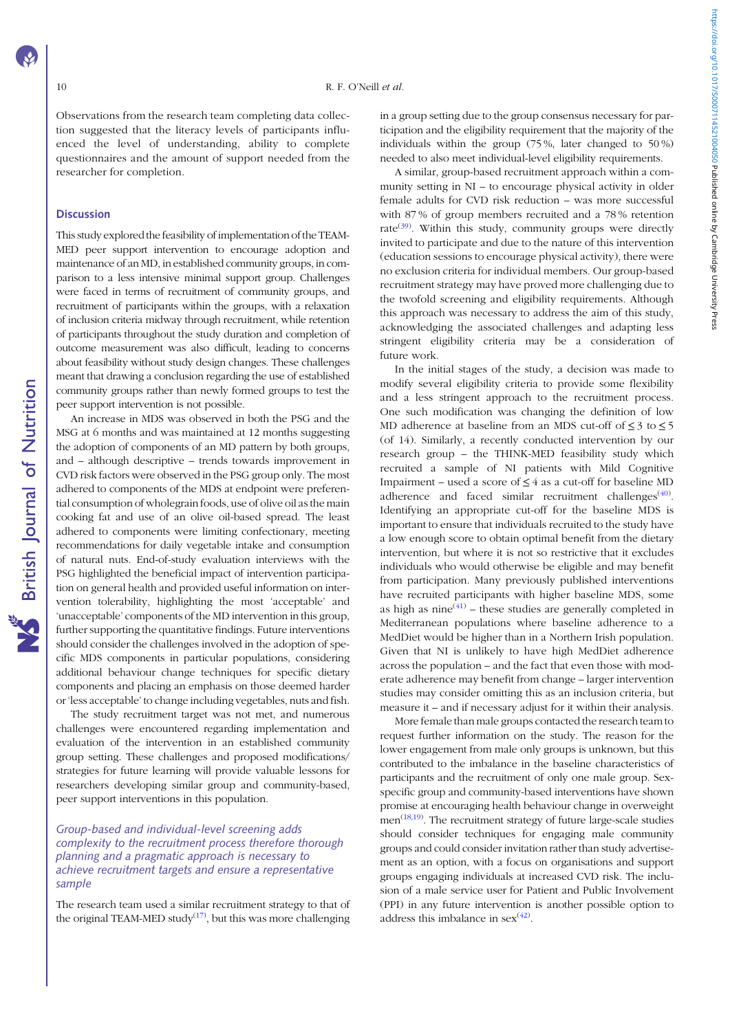Observations from the research team completing data collection suggested that the literacy levels of participants influenced the level of understanding, ability to complete questionnaires and the amount of support needed from the researcher for completion.

## **Discussion**

This study explored the feasibility of implementation of the TEAM-MED peer support intervention to encourage adoption and maintenance of an MD, in established community groups, in comparison to a less intensive minimal support group. Challenges were faced in terms of recruitment of community groups, and recruitment of participants within the groups, with a relaxation of inclusion criteria midway through recruitment, while retention of participants throughout the study duration and completion of outcome measurement was also difficult, leading to concerns about feasibility without study design changes. These challenges meant that drawing a conclusion regarding the use of established community groups rather than newly formed groups to test the peer support intervention is not possible.

An increase in MDS was observed in both the PSG and the MSG at 6 months and was maintained at 12 months suggesting the adoption of components of an MD pattern by both groups, and – although descriptive – trends towards improvement in CVD risk factors were observed in the PSG group only. The most adhered to components of the MDS at endpoint were preferential consumption of wholegrain foods, use of olive oil as the main cooking fat and use of an olive oil-based spread. The least adhered to components were limiting confectionary, meeting recommendations for daily vegetable intake and consumption of natural nuts. End-of-study evaluation interviews with the PSG highlighted the beneficial impact of intervention participation on general health and provided useful information on intervention tolerability, highlighting the most 'acceptable' and 'unacceptable' components of the MD intervention in this group, further supporting the quantitative findings. Future interventions should consider the challenges involved in the adoption of specific MDS components in particular populations, considering additional behaviour change techniques for specific dietary components and placing an emphasis on those deemed harder or 'less acceptable' to change including vegetables, nuts and fish.

The study recruitment target was not met, and numerous challenges were encountered regarding implementation and evaluation of the intervention in an established community group setting. These challenges and proposed modifications/ strategies for future learning will provide valuable lessons for researchers developing similar group and community-based, peer support interventions in this population.

## Group-based and individual-level screening adds complexity to the recruitment process therefore thorough planning and a pragmatic approach is necessary to achieve recruitment targets and ensure a representative sample

The research team used a similar recruitment strategy to that of the original TEAM-MED study $^{(17)}$  $^{(17)}$  $^{(17)}$ , but this was more challenging

in a group setting due to the group consensus necessary for participation and the eligibility requirement that the majority of the individuals within the group (75 %, later changed to 50 %) needed to also meet individual-level eligibility requirements.

A similar, group-based recruitment approach within a community setting in NI – to encourage physical activity in older female adults for CVD risk reduction – was more successful with 87 % of group members recruited and a 78 % retention rate<sup>([39](#page-12-0))</sup>. Within this study, community groups were directly invited to participate and due to the nature of this intervention (education sessions to encourage physical activity), there were no exclusion criteria for individual members. Our group-based recruitment strategy may have proved more challenging due to the twofold screening and eligibility requirements. Although this approach was necessary to address the aim of this study, acknowledging the associated challenges and adapting less stringent eligibility criteria may be a consideration of future work.

In the initial stages of the study, a decision was made to modify several eligibility criteria to provide some flexibility and a less stringent approach to the recruitment process. One such modification was changing the definition of low MD adherence at baseline from an MDS cut-off of  $\leq 3$  to  $\leq 5$ (of 14). Similarly, a recently conducted intervention by our research group – the THINK-MED feasibility study which recruited a sample of NI patients with Mild Cognitive Impairment – used a score of  $\leq 4$  as a cut-off for baseline MD adherence and faced similar recruitment challenges $(40)$  $(40)$ . Identifying an appropriate cut-off for the baseline MDS is important to ensure that individuals recruited to the study have a low enough score to obtain optimal benefit from the dietary intervention, but where it is not so restrictive that it excludes individuals who would otherwise be eligible and may benefit from participation. Many previously published interventions have recruited participants with higher baseline MDS, some as high as nine $(41)$  $(41)$  $(41)$  – these studies are generally completed in Mediterranean populations where baseline adherence to a MedDiet would be higher than in a Northern Irish population. Given that NI is unlikely to have high MedDiet adherence across the population – and the fact that even those with moderate adherence may benefit from change – larger intervention studies may consider omitting this as an inclusion criteria, but measure it – and if necessary adjust for it within their analysis.

More female than male groups contacted the research team to request further information on the study. The reason for the lower engagement from male only groups is unknown, but this contributed to the imbalance in the baseline characteristics of participants and the recruitment of only one male group. Sexspecific group and community-based interventions have shown promise at encouraging health behaviour change in overweight men<sup>[\(18](#page-12-0),[19](#page-12-0))</sup>. The recruitment strategy of future large-scale studies should consider techniques for engaging male community groups and could consider invitation rather than study advertisement as an option, with a focus on organisations and support groups engaging individuals at increased CVD risk. The inclusion of a male service user for Patient and Public Involvement (PPI) in any future intervention is another possible option to address this imbalance in  $sex^{(42)}$  $sex^{(42)}$  $sex^{(42)}$ .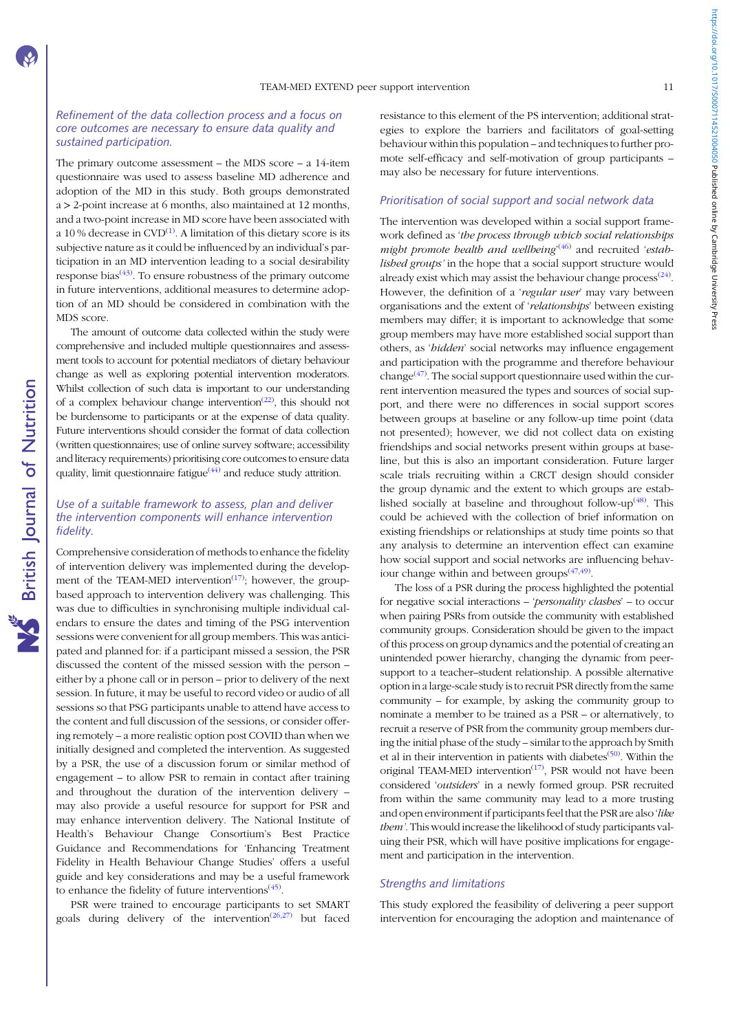https://doi.org/10.1017/50007114521004050 Published online by Cambridge University Press https://doi.org/10.1017/S0007114521004050 Published online by Cambridge University Press

## Refinement of the data collection process and a focus on core outcomes are necessary to ensure data quality and sustained participation.

The primary outcome assessment – the MDS score – a 14-item questionnaire was used to assess baseline MD adherence and adoption of the MD in this study. Both groups demonstrated a > 2-point increase at 6 months, also maintained at 12 months, and a two-point increase in MD score have been associated with a 10 % decrease in  $\text{CVD}^{(1)}$  $\text{CVD}^{(1)}$  $\text{CVD}^{(1)}$ . A limitation of this dietary score is its subjective nature as it could be influenced by an individual's participation in an MD intervention leading to a social desirability response bias<sup> $(43)$  $(43)$ </sup>. To ensure robustness of the primary outcome in future interventions, additional measures to determine adoption of an MD should be considered in combination with the MDS score.

The amount of outcome data collected within the study were comprehensive and included multiple questionnaires and assessment tools to account for potential mediators of dietary behaviour change as well as exploring potential intervention moderators. Whilst collection of such data is important to our understanding of a complex behaviour change intervention<sup> $(22)$  $(22)$ </sup>, this should not be burdensome to participants or at the expense of data quality. Future interventions should consider the format of data collection (written questionnaires; use of online survey software; accessibility and literacy requirements) prioritising core outcomes to ensure data quality, limit questionnaire fatigue<sup>([44\)](#page-12-0)</sup> and reduce study attrition.

## Use of a suitable framework to assess, plan and deliver the intervention components will enhance intervention fidelity.

Comprehensive consideration of methods to enhance the fidelity of intervention delivery was implemented during the development of the TEAM-MED intervention<sup> $(17)$  $(17)$  $(17)$ </sup>; however, the groupbased approach to intervention delivery was challenging. This was due to difficulties in synchronising multiple individual calendars to ensure the dates and timing of the PSG intervention sessions were convenient for all group members. This was anticipated and planned for: if a participant missed a session, the PSR discussed the content of the missed session with the person – either by a phone call or in person – prior to delivery of the next session. In future, it may be useful to record video or audio of all sessions so that PSG participants unable to attend have access to the content and full discussion of the sessions, or consider offering remotely – a more realistic option post COVID than when we initially designed and completed the intervention. As suggested by a PSR, the use of a discussion forum or similar method of engagement – to allow PSR to remain in contact after training and throughout the duration of the intervention delivery – may also provide a useful resource for support for PSR and may enhance intervention delivery. The National Institute of Health's Behaviour Change Consortium's Best Practice Guidance and Recommendations for 'Enhancing Treatment Fidelity in Health Behaviour Change Studies' offers a useful guide and key considerations and may be a useful framework to enhance the fidelity of future interventions<sup>([45](#page-12-0))</sup>.

PSR were trained to encourage participants to set SMART goals during delivery of the intervention<sup> $(26,27)$  $(26,27)$ </sup> but faced resistance to this element of the PS intervention; additional strategies to explore the barriers and facilitators of goal-setting behaviour within this population – and techniques to further promote self-efficacy and self-motivation of group participants – may also be necessary for future interventions.

## Prioritisation of social support and social network data

The intervention was developed within a social support framework defined as 'the process through which social relationships might promote health and wellbeing<sup>([46\)](#page-12-0)</sup> and recruited 'established groups' in the hope that a social support structure would already exist which may assist the behaviour change  $\text{process}^{(24)}$  $\text{process}^{(24)}$  $\text{process}^{(24)}$ . However, the definition of a 'regular user' may vary between organisations and the extent of 'relationships' between existing members may differ; it is important to acknowledge that some group members may have more established social support than others, as 'hidden' social networks may influence engagement and participation with the programme and therefore behaviour change $(47)$  $(47)$ . The social support questionnaire used within the current intervention measured the types and sources of social support, and there were no differences in social support scores between groups at baseline or any follow-up time point (data not presented); however, we did not collect data on existing friendships and social networks present within groups at baseline, but this is also an important consideration. Future larger scale trials recruiting within a CRCT design should consider the group dynamic and the extent to which groups are established socially at baseline and throughout follow-up<sup> $(48)$  $(48)$  $(48)$ </sup>. This could be achieved with the collection of brief information on existing friendships or relationships at study time points so that any analysis to determine an intervention effect can examine how social support and social networks are influencing behaviour change within and between groups $(47,49)$ .

The loss of a PSR during the process highlighted the potential for negative social interactions – 'personality clashes' – to occur when pairing PSRs from outside the community with established community groups. Consideration should be given to the impact of this process on group dynamics and the potential of creating an unintended power hierarchy, changing the dynamic from peersupport to a teacher–student relationship. A possible alternative option in a large-scale study is to recruit PSR directly from the same community – for example, by asking the community group to nominate a member to be trained as a PSR – or alternatively, to recruit a reserve of PSR from the community group members during the initial phase of the study – similar to the approach by Smith et al in their intervention in patients with diabetes<sup>([50\)](#page-12-0)</sup>. Within the original TEAM-MED intervention<sup>[\(17\)](#page-12-0)</sup>, PSR would not have been considered 'outsiders' in a newly formed group. PSR recruited from within the same community may lead to a more trusting and open environment if participants feel that the PSR are also 'like them'. This would increase the likelihood of study participants valuing their PSR, which will have positive implications for engagement and participation in the intervention.

## Strengths and limitations

This study explored the feasibility of delivering a peer support intervention for encouraging the adoption and maintenance of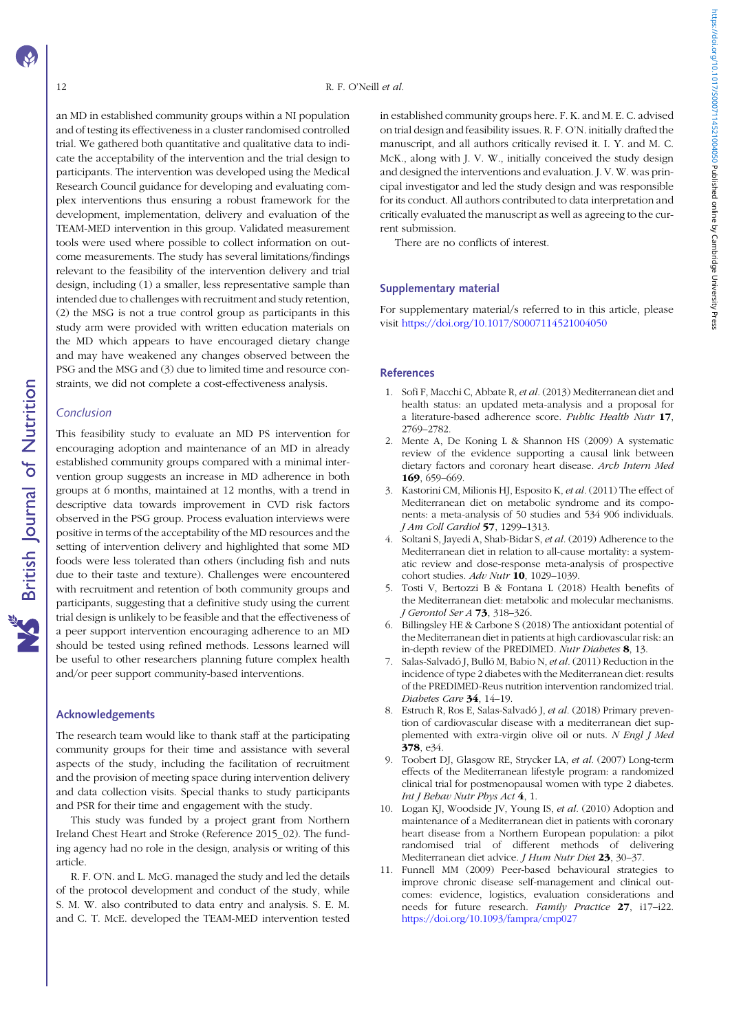<span id="page-11-0"></span>an MD in established community groups within a NI population and of testing its effectiveness in a cluster randomised controlled trial. We gathered both quantitative and qualitative data to indicate the acceptability of the intervention and the trial design to participants. The intervention was developed using the Medical Research Council guidance for developing and evaluating complex interventions thus ensuring a robust framework for the development, implementation, delivery and evaluation of the TEAM-MED intervention in this group. Validated measurement tools were used where possible to collect information on outcome measurements. The study has several limitations/findings relevant to the feasibility of the intervention delivery and trial design, including (1) a smaller, less representative sample than intended due to challenges with recruitment and study retention, (2) the MSG is not a true control group as participants in this study arm were provided with written education materials on the MD which appears to have encouraged dietary change and may have weakened any changes observed between the PSG and the MSG and (3) due to limited time and resource constraints, we did not complete a cost-effectiveness analysis.

## Conclusion

**NS** British Journal of Nutrition

This feasibility study to evaluate an MD PS intervention for encouraging adoption and maintenance of an MD in already established community groups compared with a minimal intervention group suggests an increase in MD adherence in both groups at 6 months, maintained at 12 months, with a trend in descriptive data towards improvement in CVD risk factors observed in the PSG group. Process evaluation interviews were positive in terms of the acceptability of the MD resources and the setting of intervention delivery and highlighted that some MD foods were less tolerated than others (including fish and nuts due to their taste and texture). Challenges were encountered with recruitment and retention of both community groups and participants, suggesting that a definitive study using the current trial design is unlikely to be feasible and that the effectiveness of a peer support intervention encouraging adherence to an MD should be tested using refined methods. Lessons learned will be useful to other researchers planning future complex health and/or peer support community-based interventions.

## Acknowledgements

The research team would like to thank staff at the participating community groups for their time and assistance with several aspects of the study, including the facilitation of recruitment and the provision of meeting space during intervention delivery and data collection visits. Special thanks to study participants and PSR for their time and engagement with the study.

This study was funded by a project grant from Northern Ireland Chest Heart and Stroke (Reference 2015\_02). The funding agency had no role in the design, analysis or writing of this article.

R. F. O'N. and L. McG. managed the study and led the details of the protocol development and conduct of the study, while S. M. W. also contributed to data entry and analysis. S. E. M. and C. T. McE. developed the TEAM-MED intervention tested

in established community groups here. F. K. and M. E. C. advised on trial design and feasibility issues. R. F. O'N. initially drafted the manuscript, and all authors critically revised it. I. Y. and M. C. McK., along with J. V. W., initially conceived the study design and designed the interventions and evaluation. J. V. W. was principal investigator and led the study design and was responsible for its conduct. All authors contributed to data interpretation and critically evaluated the manuscript as well as agreeing to the current submission.

There are no conflicts of interest.

#### Supplementary material

For supplementary material/s referred to in this article, please visit <https://doi.org/10.1017/S0007114521004050>

## References

- 1. Sofi F, Macchi C, Abbate R, et al. (2013) Mediterranean diet and health status: an updated meta-analysis and a proposal for a literature-based adherence score. Public Health Nutr 17, 2769–2782.
- 2. Mente A, De Koning L & Shannon HS (2009) A systematic review of the evidence supporting a causal link between dietary factors and coronary heart disease. Arch Intern Med 169, 659–669.
- 3. Kastorini CM, Milionis HJ, Esposito K, et al. (2011) The effect of Mediterranean diet on metabolic syndrome and its components: a meta-analysis of 50 studies and 534 906 individuals. J Am Coll Cardiol 57, 1299–1313.
- 4. Soltani S, Jayedi A, Shab-Bidar S, et al. (2019) Adherence to the Mediterranean diet in relation to all-cause mortality: a systematic review and dose-response meta-analysis of prospective cohort studies. Adv Nutr 10, 1029-1039.
- 5. Tosti V, Bertozzi B & Fontana L (2018) Health benefits of the Mediterranean diet: metabolic and molecular mechanisms. J Gerontol Ser A **73**, 318-326.
- 6. Billingsley HE & Carbone S (2018) The antioxidant potential of the Mediterranean diet in patients at high cardiovascular risk: an in-depth review of the PREDIMED. Nutr Diabetes 8, 13.
- 7. Salas-Salvadó J, Bulló M, Babio N, et al. (2011) Reduction in the incidence of type 2 diabetes with the Mediterranean diet: results of the PREDIMED-Reus nutrition intervention randomized trial. Diabetes Care 34, 14-19.
- 8. Estruch R, Ros E, Salas-Salvadó J, et al. (2018) Primary prevention of cardiovascular disease with a mediterranean diet supplemented with extra-virgin olive oil or nuts. N Engl J Med 378, e34.
- 9. Toobert DJ, Glasgow RE, Strycker LA, et al. (2007) Long-term effects of the Mediterranean lifestyle program: a randomized clinical trial for postmenopausal women with type 2 diabetes. Int J Behav Nutr Phys Act 4, 1.
- 10. Logan KJ, Woodside JV, Young IS, et al. (2010) Adoption and maintenance of a Mediterranean diet in patients with coronary heart disease from a Northern European population: a pilot randomised trial of different methods of delivering Mediterranean diet advice. J Hum Nutr Diet 23, 30-37.
- 11. Funnell MM (2009) Peer-based behavioural strategies to improve chronic disease self-management and clinical outcomes: evidence, logistics, evaluation considerations and needs for future research. Family Practice 27, i17–i22. <https://doi.org/10.1093/fampra/cmp027>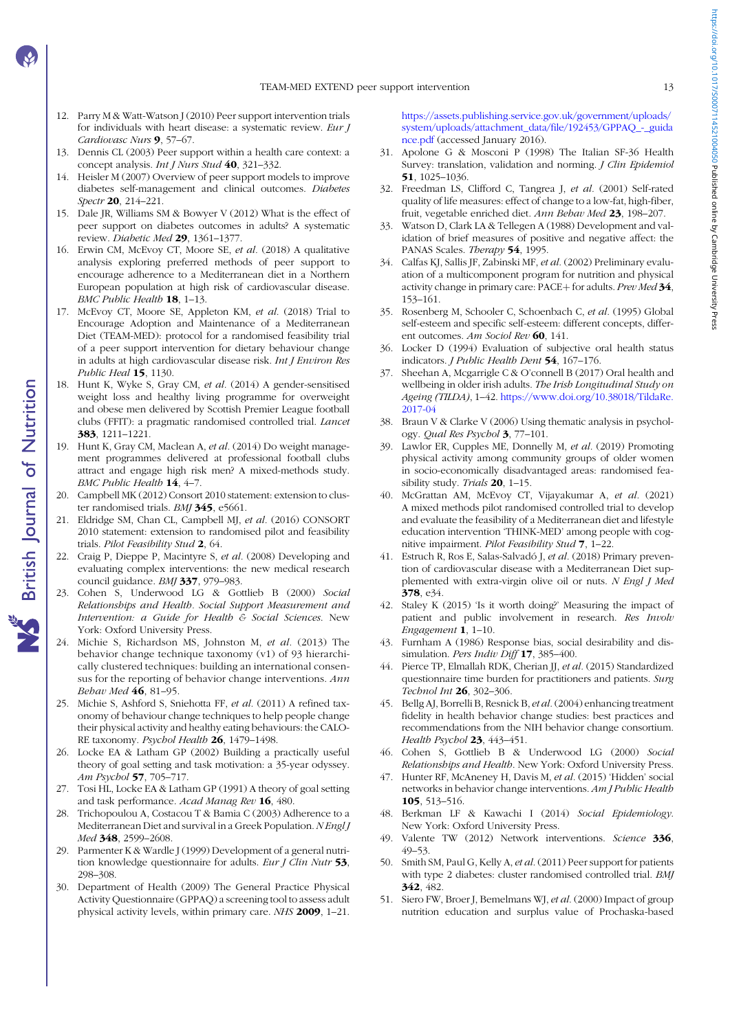- <span id="page-12-0"></span>12. Parry M & Watt-Watson J (2010) Peer support intervention trials for individuals with heart disease: a systematic review. Eur J Cardiovasc Nurs 9, 57-67.
- 13. Dennis CL (2003) Peer support within a health care context: a concept analysis. Int J Nurs Stud 40, 321-332.
- 14. Heisler M (2007) Overview of peer support models to improve diabetes self-management and clinical outcomes. Diabetes Spectr 20, 214-221.
- 15. Dale JR, Williams SM & Bowyer V (2012) What is the effect of peer support on diabetes outcomes in adults? A systematic review. Diabetic Med 29, 1361-1377.
- 16. Erwin CM, McEvoy CT, Moore SE, et al. (2018) A qualitative analysis exploring preferred methods of peer support to encourage adherence to a Mediterranean diet in a Northern European population at high risk of cardiovascular disease. BMC Public Health 18, 1-13.
- 17. McEvoy CT, Moore SE, Appleton KM, et al. (2018) Trial to Encourage Adoption and Maintenance of a Mediterranean Diet (TEAM-MED): protocol for a randomised feasibility trial of a peer support intervention for dietary behaviour change in adults at high cardiovascular disease risk. Int J Environ Res Public Heal 15, 1130.
- 18. Hunt K, Wyke S, Gray CM, et al. (2014) A gender-sensitised weight loss and healthy living programme for overweight and obese men delivered by Scottish Premier League football clubs (FFIT): a pragmatic randomised controlled trial. Lancet 383, 1211–1221.
- 19. Hunt K, Gray CM, Maclean A, et al. (2014) Do weight management programmes delivered at professional football clubs attract and engage high risk men? A mixed-methods study. BMC Public Health 14, 4-7.
- 20. Campbell MK (2012) Consort 2010 statement: extension to cluster randomised trials. BMJ 345, e5661.
- 21. Eldridge SM, Chan CL, Campbell MJ, et al. (2016) CONSORT 2010 statement: extension to randomised pilot and feasibility trials. Pilot Feasibility Stud 2, 64.
- 22. Craig P, Dieppe P, Macintyre S, et al. (2008) Developing and evaluating complex interventions: the new medical research council guidance. BMJ 337, 979-983.
- 23. Cohen S, Underwood LG & Gottlieb B (2000) Social Relationships and Health. Social Support Measurement and Intervention: a Guide for Health & Social Sciences. New York: Oxford University Press.
- 24. Michie S, Richardson MS, Johnston M, et al. (2013) The behavior change technique taxonomy (v1) of 93 hierarchically clustered techniques: building an international consensus for the reporting of behavior change interventions. Ann Behav Med 46, 81–95.
- 25. Michie S, Ashford S, Sniehotta FF, et al. (2011) A refined taxonomy of behaviour change techniques to help people change their physical activity and healthy eating behaviours: the CALO-RE taxonomy. Psychol Health 26, 1479-1498.
- 26. Locke EA & Latham GP (2002) Building a practically useful theory of goal setting and task motivation: a 35-year odyssey. Am Psychol 57, 705–717.
- 27. Tosi HL, Locke EA & Latham GP (1991) A theory of goal setting and task performance. Acad Manag Rev 16, 480.
- 28. Trichopoulou A, Costacou T & Bamia C (2003) Adherence to a Mediterranean Diet and survival in a Greek Population. NEngl J Med 348, 2599-2608.
- 29. Parmenter K & Wardle J (1999) Development of a general nutrition knowledge questionnaire for adults. Eur J Clin Nutr 53, 298–308.
- 30. Department of Health (2009) The General Practice Physical Activity Questionnaire (GPPAQ) a screening tool to assess adult physical activity levels, within primary care. NHS 2009, 1–21.

[https://assets.publishing.service.gov.uk/government/uploads/](https://assets.publishing.service.gov.uk/government/uploads/system/uploads/attachment_data/file/192453/GPPAQ_-_guidance.pdf) [system/uploads/attachment\\_data/file/192453/GPPAQ\\_-\\_guida](https://assets.publishing.service.gov.uk/government/uploads/system/uploads/attachment_data/file/192453/GPPAQ_-_guidance.pdf) [nce.pdf](https://assets.publishing.service.gov.uk/government/uploads/system/uploads/attachment_data/file/192453/GPPAQ_-_guidance.pdf) (accessed January 2016).

- 31. Apolone G & Mosconi P (1998) The Italian SF-36 Health Survey: translation, validation and norming. *J Clin Epidemiol* 51, 1025–1036.
- 32. Freedman LS, Clifford C, Tangrea J, et al. (2001) Self-rated quality of life measures: effect of change to a low-fat, high-fiber, fruit, vegetable enriched diet. Ann Behav Med 23, 198–207.
- 33. Watson D, Clark LA & Tellegen A (1988) Development and validation of brief measures of positive and negative affect: the PANAS Scales. Therapy 54, 1995.
- 34. Calfas KJ, Sallis JF, Zabinski MF, et al. (2002) Preliminary evaluation of a multicomponent program for nutrition and physical activity change in primary care: PACE+ for adults. Prev Med 34, 153–161.
- 35. Rosenberg M, Schooler C, Schoenbach C, et al. (1995) Global self-esteem and specific self-esteem: different concepts, different outcomes. Am Sociol Rev 60, 141.
- 36. Locker D (1994) Evaluation of subjective oral health status indicators. J Public Health Dent 54, 167–176.
- 37. Sheehan A, Mcgarrigle C & O'connell B (2017) Oral health and wellbeing in older irish adults. The Irish Longitudinal Study on Ageing (TILDA), 1–42. [https://www.doi.org/10.38018/TildaRe.](https://www.doi.org/10.38018/TildaRe.2017-04) [2017-04](https://www.doi.org/10.38018/TildaRe.2017-04)
- 38. Braun V & Clarke V (2006) Using thematic analysis in psychology. Qual Res Psychol 3, 77–101.
- 39. Lawlor ER, Cupples ME, Donnelly M, et al. (2019) Promoting physical activity among community groups of older women in socio-economically disadvantaged areas: randomised feasibility study. Trials  $20$ , 1-15.
- 40. McGrattan AM, McEvoy CT, Vijayakumar A, et al. (2021) A mixed methods pilot randomised controlled trial to develop and evaluate the feasibility of a Mediterranean diet and lifestyle education intervention 'THINK-MED' among people with cognitive impairment. Pilot Feasibility Stud 7, 1–22.
- 41. Estruch R, Ros E, Salas-Salvadó J, et al. (2018) Primary prevention of cardiovascular disease with a Mediterranean Diet supplemented with extra-virgin olive oil or nuts. N Engl J Med 378, e34.
- 42. Staley K (2015) 'Is it worth doing?' Measuring the impact of patient and public involvement in research. Res Involv Engagement 1, 1–10.
- 43. Furnham A (1986) Response bias, social desirability and dissimulation. Pers Indiv Diff 17, 385-400.
- 44. Pierce TP, Elmallah RDK, Cherian JJ, et al. (2015) Standardized questionnaire time burden for practitioners and patients. Surg Technol Int 26, 302–306.
- 45. Bellg AJ, Borrelli B, Resnick B, et al.(2004) enhancing treatment fidelity in health behavior change studies: best practices and recommendations from the NIH behavior change consortium. Health Psychol 23, 443-451.
- 46. Cohen S, Gottlieb B & Underwood LG (2000) Social Relationships and Health. New York: Oxford University Press.
- 47. Hunter RF, McAneney H, Davis M, et al. (2015) 'Hidden' social networks in behavior change interventions. Am J Public Health 105, 513–516.
- 48. Berkman LF & Kawachi I (2014) Social Epidemiology. New York: Oxford University Press.
- 49. Valente TW (2012) Network interventions. Science 336, 49–53.
- 50. Smith SM, Paul G, Kelly A, et al. (2011) Peer support for patients with type 2 diabetes: cluster randomised controlled trial. BMJ 342, 482.
- 51. Siero FW, Broer J, Bemelmans WJ, et al. (2000) Impact of group nutrition education and surplus value of Prochaska-based